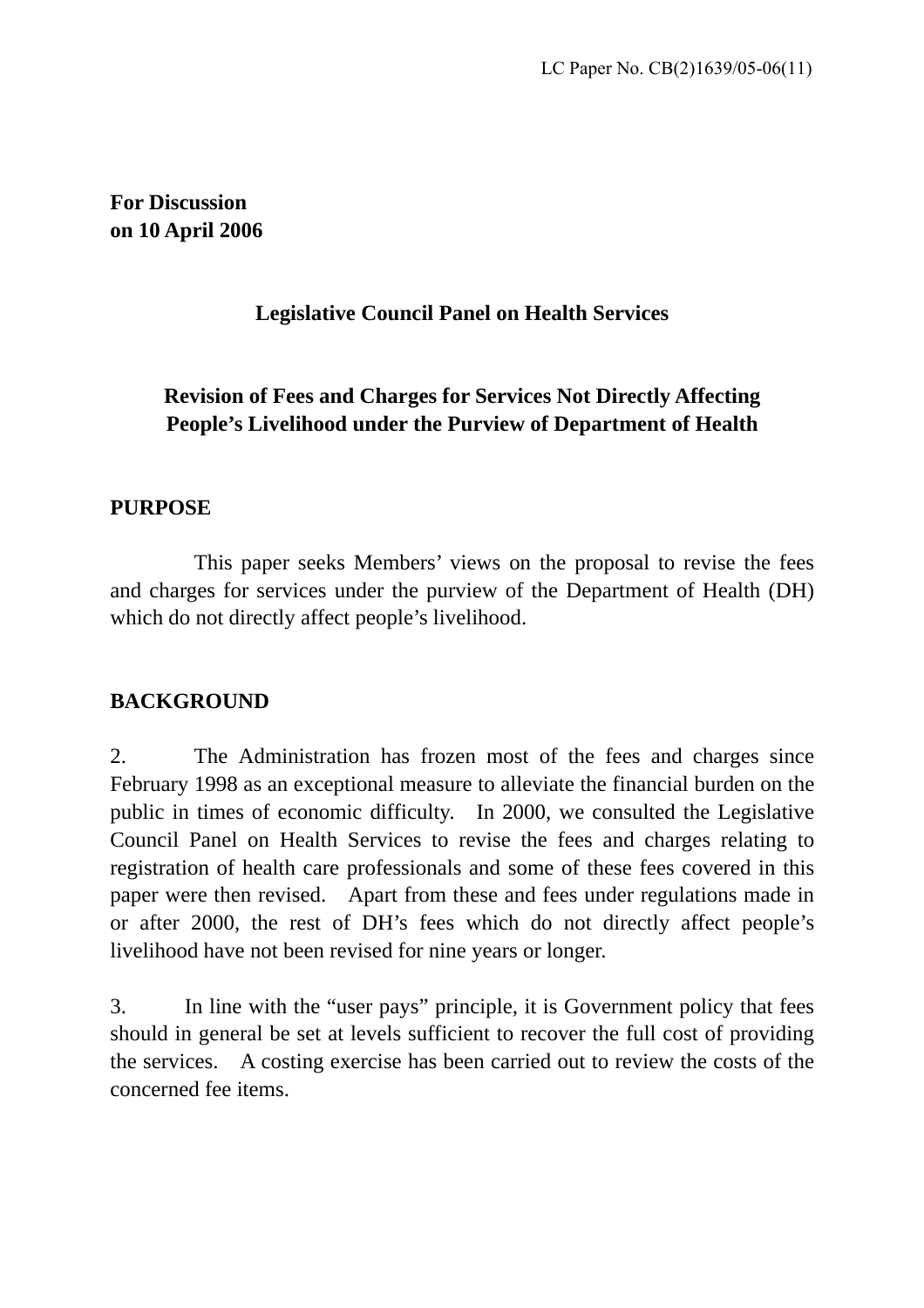**For Discussion on 10 April 2006**

# **Legislative Council Panel on Health Services**

# **Revision of Fees and Charges for Services Not Directly Affecting People's Livelihood under the Purview of Department of Health**

# **PURPOSE**

 This paper seeks Members' views on the proposal to revise the fees and charges for services under the purview of the Department of Health (DH) which do not directly affect people's livelihood.

# **BACKGROUND**

2. The Administration has frozen most of the fees and charges since February 1998 as an exceptional measure to alleviate the financial burden on the public in times of economic difficulty. In 2000, we consulted the Legislative Council Panel on Health Services to revise the fees and charges relating to registration of health care professionals and some of these fees covered in this paper were then revised. Apart from these and fees under regulations made in or after 2000, the rest of DH's fees which do not directly affect people's livelihood have not been revised for nine years or longer.

3. In line with the "user pays" principle, it is Government policy that fees should in general be set at levels sufficient to recover the full cost of providing the services. A costing exercise has been carried out to review the costs of the concerned fee items.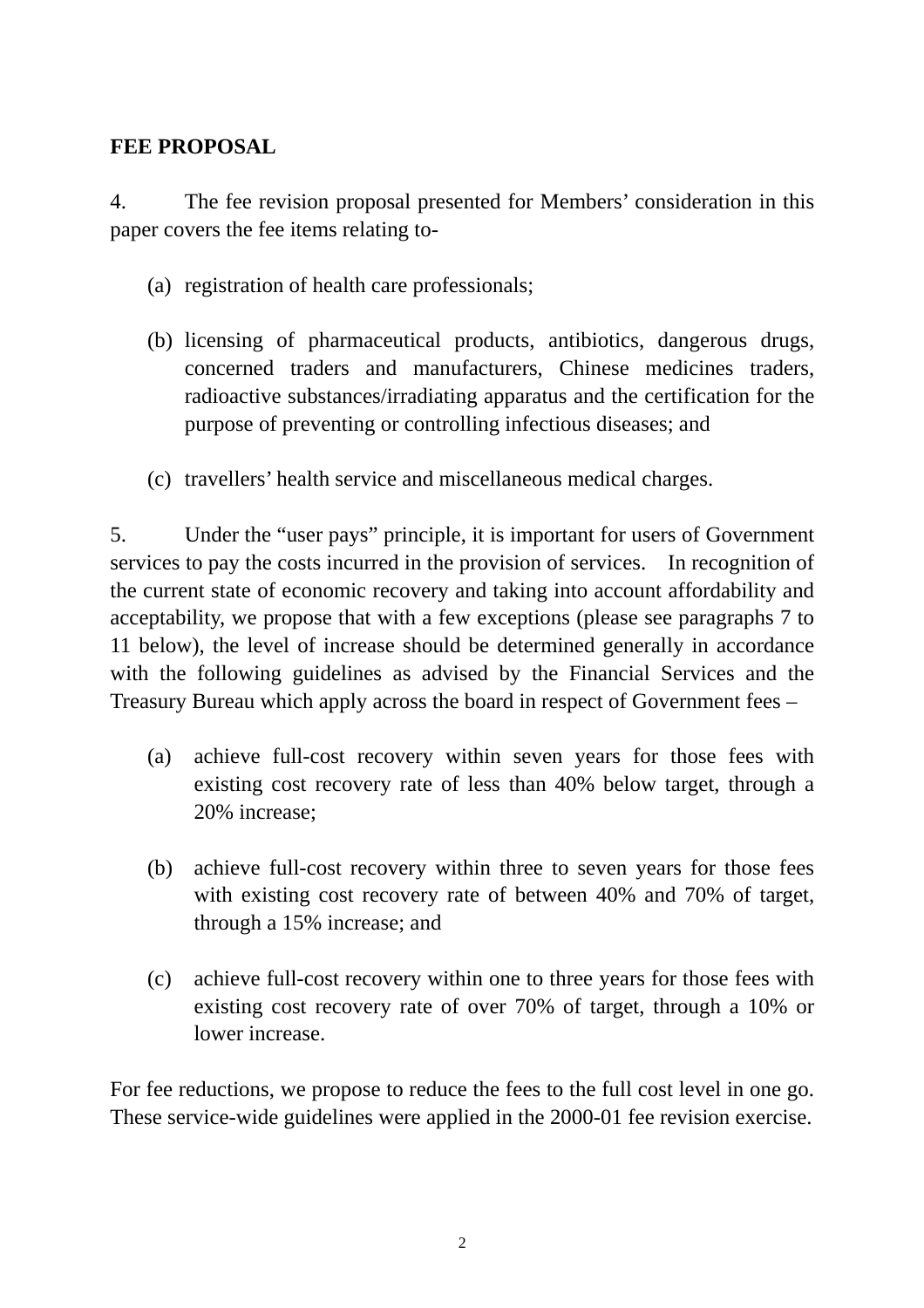# **FEE PROPOSAL**

4. The fee revision proposal presented for Members' consideration in this paper covers the fee items relating to-

- (a) registration of health care professionals;
- (b) licensing of pharmaceutical products, antibiotics, dangerous drugs, concerned traders and manufacturers, Chinese medicines traders, radioactive substances/irradiating apparatus and the certification for the purpose of preventing or controlling infectious diseases; and
- (c) travellers' health service and miscellaneous medical charges.

5. Under the "user pays" principle, it is important for users of Government services to pay the costs incurred in the provision of services. In recognition of the current state of economic recovery and taking into account affordability and acceptability, we propose that with a few exceptions (please see paragraphs 7 to 11 below), the level of increase should be determined generally in accordance with the following guidelines as advised by the Financial Services and the Treasury Bureau which apply across the board in respect of Government fees –

- (a) achieve full-cost recovery within seven years for those fees with existing cost recovery rate of less than 40% below target, through a 20% increase;
- (b) achieve full-cost recovery within three to seven years for those fees with existing cost recovery rate of between 40% and 70% of target, through a 15% increase; and
- (c) achieve full-cost recovery within one to three years for those fees with existing cost recovery rate of over 70% of target, through a 10% or lower increase.

For fee reductions, we propose to reduce the fees to the full cost level in one go. These service-wide guidelines were applied in the 2000-01 fee revision exercise.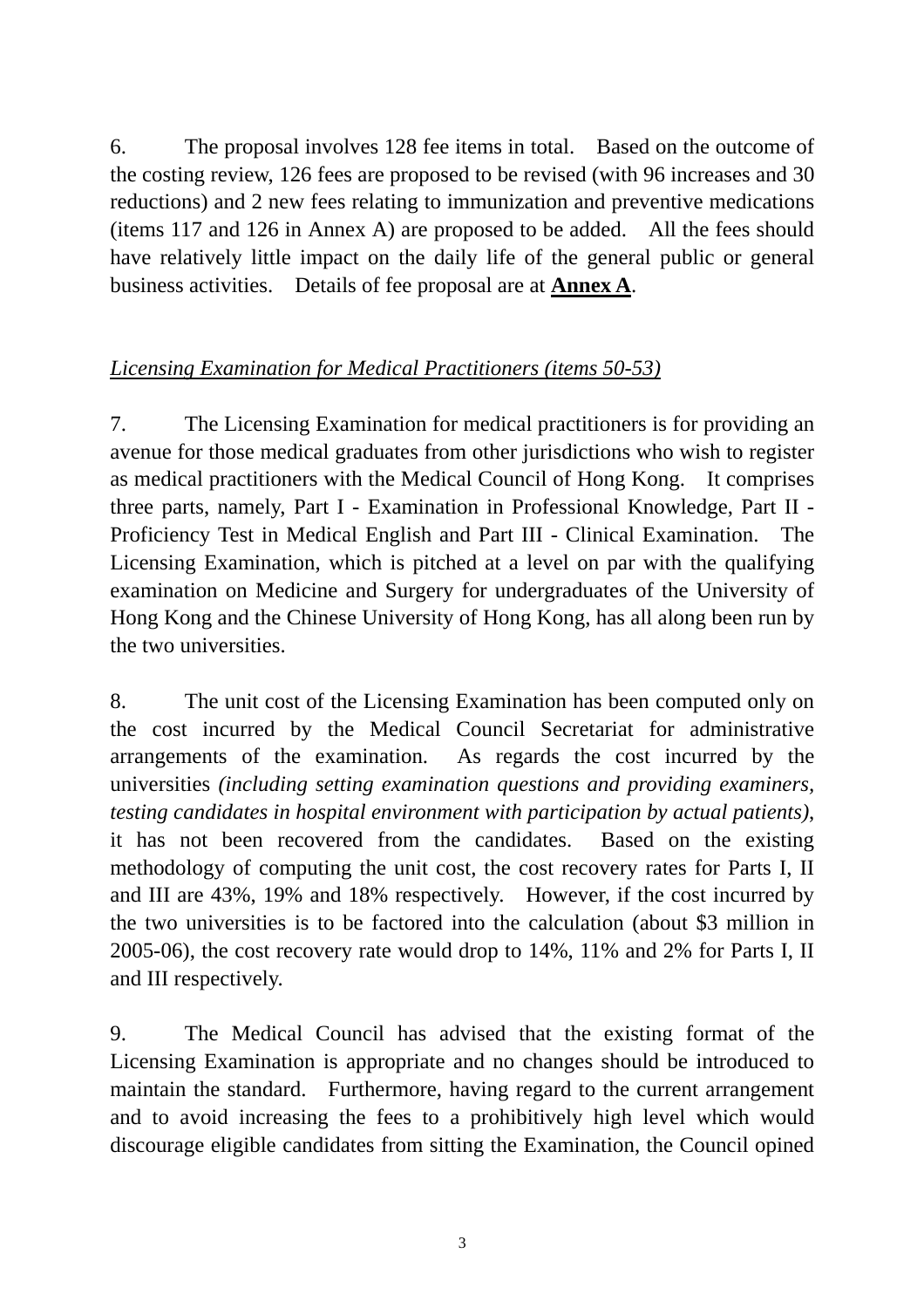6. The proposal involves 128 fee items in total. Based on the outcome of the costing review, 126 fees are proposed to be revised (with 96 increases and 30 reductions) and 2 new fees relating to immunization and preventive medications (items 117 and 126 in Annex A) are proposed to be added. All the fees should have relatively little impact on the daily life of the general public or general business activities. Details of fee proposal are at **Annex A**.

#### *Licensing Examination for Medical Practitioners (items 50-53)*

7. The Licensing Examination for medical practitioners is for providing an avenue for those medical graduates from other jurisdictions who wish to register as medical practitioners with the Medical Council of Hong Kong. It comprises three parts, namely, Part I - Examination in Professional Knowledge, Part II - Proficiency Test in Medical English and Part III - Clinical Examination. The Licensing Examination, which is pitched at a level on par with the qualifying examination on Medicine and Surgery for undergraduates of the University of Hong Kong and the Chinese University of Hong Kong, has all along been run by the two universities.

8. The unit cost of the Licensing Examination has been computed only on the cost incurred by the Medical Council Secretariat for administrative arrangements of the examination. As regards the cost incurred by the universities *(including setting examination questions and providing examiners, testing candidates in hospital environment with participation by actual patients)*, it has not been recovered from the candidates. Based on the existing methodology of computing the unit cost, the cost recovery rates for Parts I, II and III are 43%, 19% and 18% respectively. However, if the cost incurred by the two universities is to be factored into the calculation (about \$3 million in 2005-06), the cost recovery rate would drop to 14%, 11% and 2% for Parts I, II and III respectively.

9. The Medical Council has advised that the existing format of the Licensing Examination is appropriate and no changes should be introduced to maintain the standard. Furthermore, having regard to the current arrangement and to avoid increasing the fees to a prohibitively high level which would discourage eligible candidates from sitting the Examination, the Council opined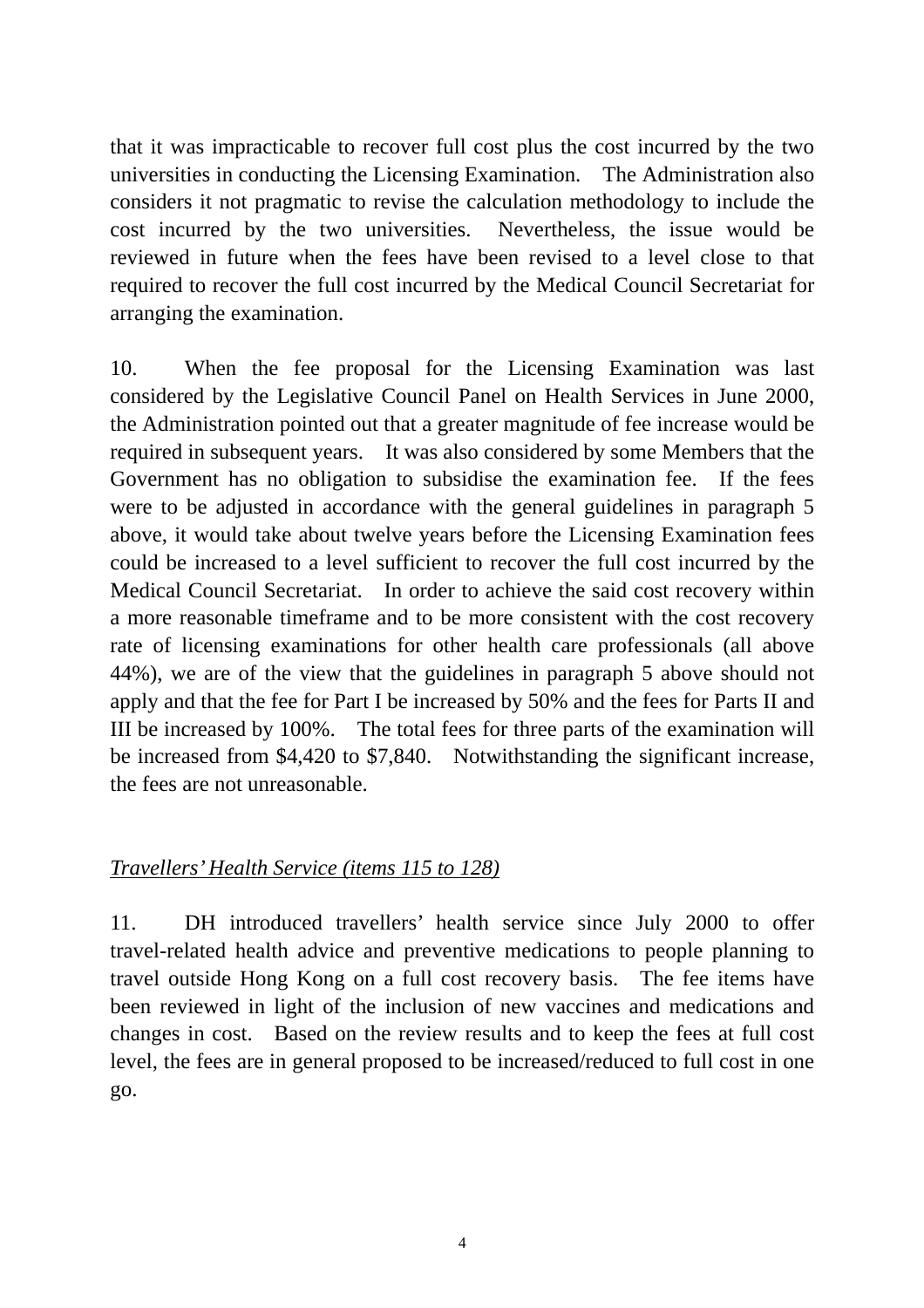that it was impracticable to recover full cost plus the cost incurred by the two universities in conducting the Licensing Examination. The Administration also considers it not pragmatic to revise the calculation methodology to include the cost incurred by the two universities. Nevertheless, the issue would be reviewed in future when the fees have been revised to a level close to that required to recover the full cost incurred by the Medical Council Secretariat for arranging the examination.

10. When the fee proposal for the Licensing Examination was last considered by the Legislative Council Panel on Health Services in June 2000, the Administration pointed out that a greater magnitude of fee increase would be required in subsequent years. It was also considered by some Members that the Government has no obligation to subsidise the examination fee. If the fees were to be adjusted in accordance with the general guidelines in paragraph 5 above, it would take about twelve years before the Licensing Examination fees could be increased to a level sufficient to recover the full cost incurred by the Medical Council Secretariat. In order to achieve the said cost recovery within a more reasonable timeframe and to be more consistent with the cost recovery rate of licensing examinations for other health care professionals (all above 44%), we are of the view that the guidelines in paragraph 5 above should not apply and that the fee for Part I be increased by 50% and the fees for Parts II and III be increased by 100%. The total fees for three parts of the examination will be increased from \$4,420 to \$7,840. Notwithstanding the significant increase, the fees are not unreasonable.

# *Travellers' Health Service (items 115 to 128)*

11. DH introduced travellers' health service since July 2000 to offer travel-related health advice and preventive medications to people planning to travel outside Hong Kong on a full cost recovery basis. The fee items have been reviewed in light of the inclusion of new vaccines and medications and changes in cost. Based on the review results and to keep the fees at full cost level, the fees are in general proposed to be increased/reduced to full cost in one go.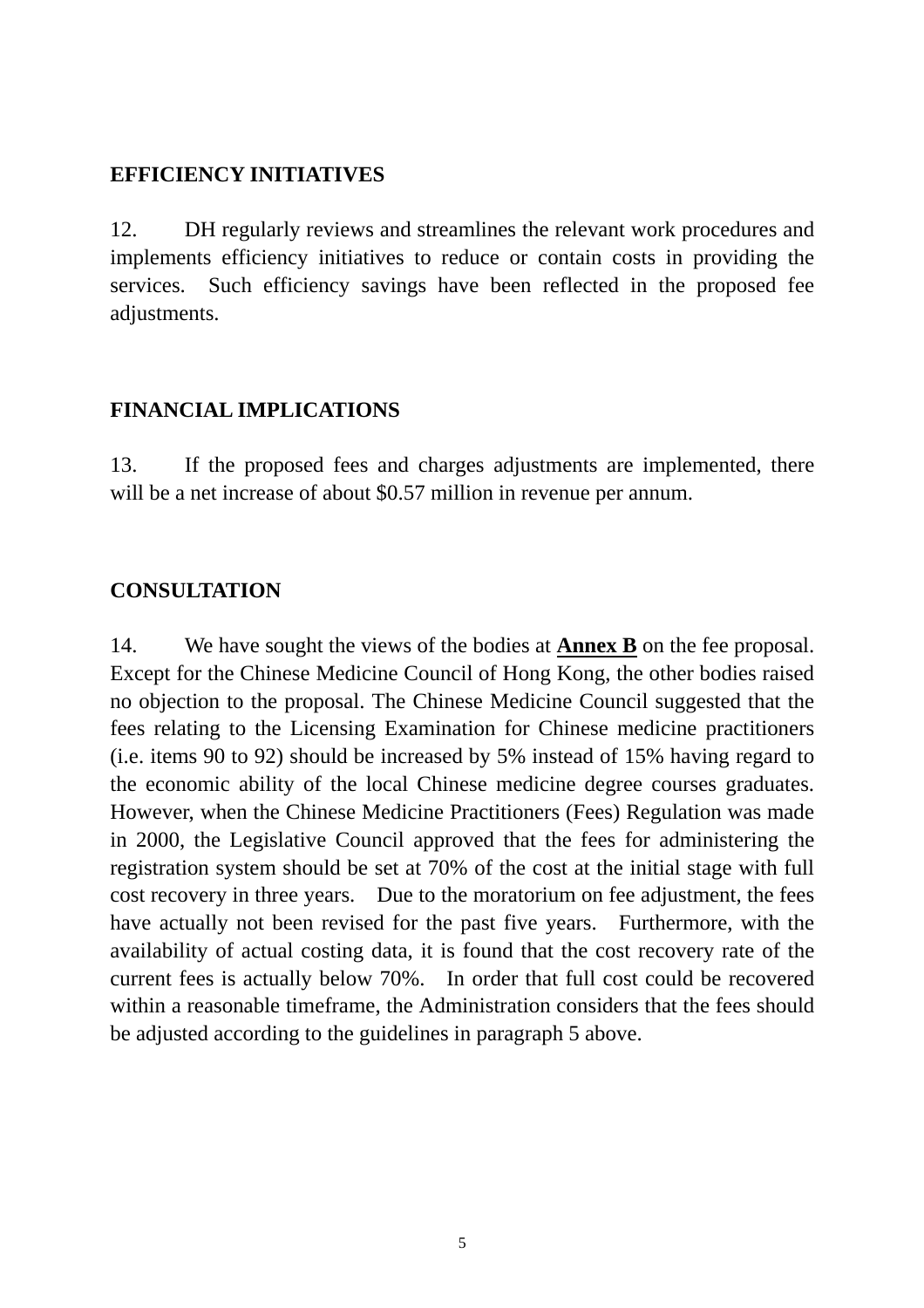#### **EFFICIENCY INITIATIVES**

12. DH regularly reviews and streamlines the relevant work procedures and implements efficiency initiatives to reduce or contain costs in providing the services. Such efficiency savings have been reflected in the proposed fee adjustments.

# **FINANCIAL IMPLICATIONS**

13. If the proposed fees and charges adjustments are implemented, there will be a net increase of about \$0.57 million in revenue per annum.

# **CONSULTATION**

14. We have sought the views of the bodies at **Annex B** on the fee proposal. Except for the Chinese Medicine Council of Hong Kong, the other bodies raised no objection to the proposal. The Chinese Medicine Council suggested that the fees relating to the Licensing Examination for Chinese medicine practitioners (i.e. items 90 to 92) should be increased by 5% instead of 15% having regard to the economic ability of the local Chinese medicine degree courses graduates. However, when the Chinese Medicine Practitioners (Fees) Regulation was made in 2000, the Legislative Council approved that the fees for administering the registration system should be set at 70% of the cost at the initial stage with full cost recovery in three years. Due to the moratorium on fee adjustment, the fees have actually not been revised for the past five years. Furthermore, with the availability of actual costing data, it is found that the cost recovery rate of the current fees is actually below 70%. In order that full cost could be recovered within a reasonable timeframe, the Administration considers that the fees should be adjusted according to the guidelines in paragraph 5 above.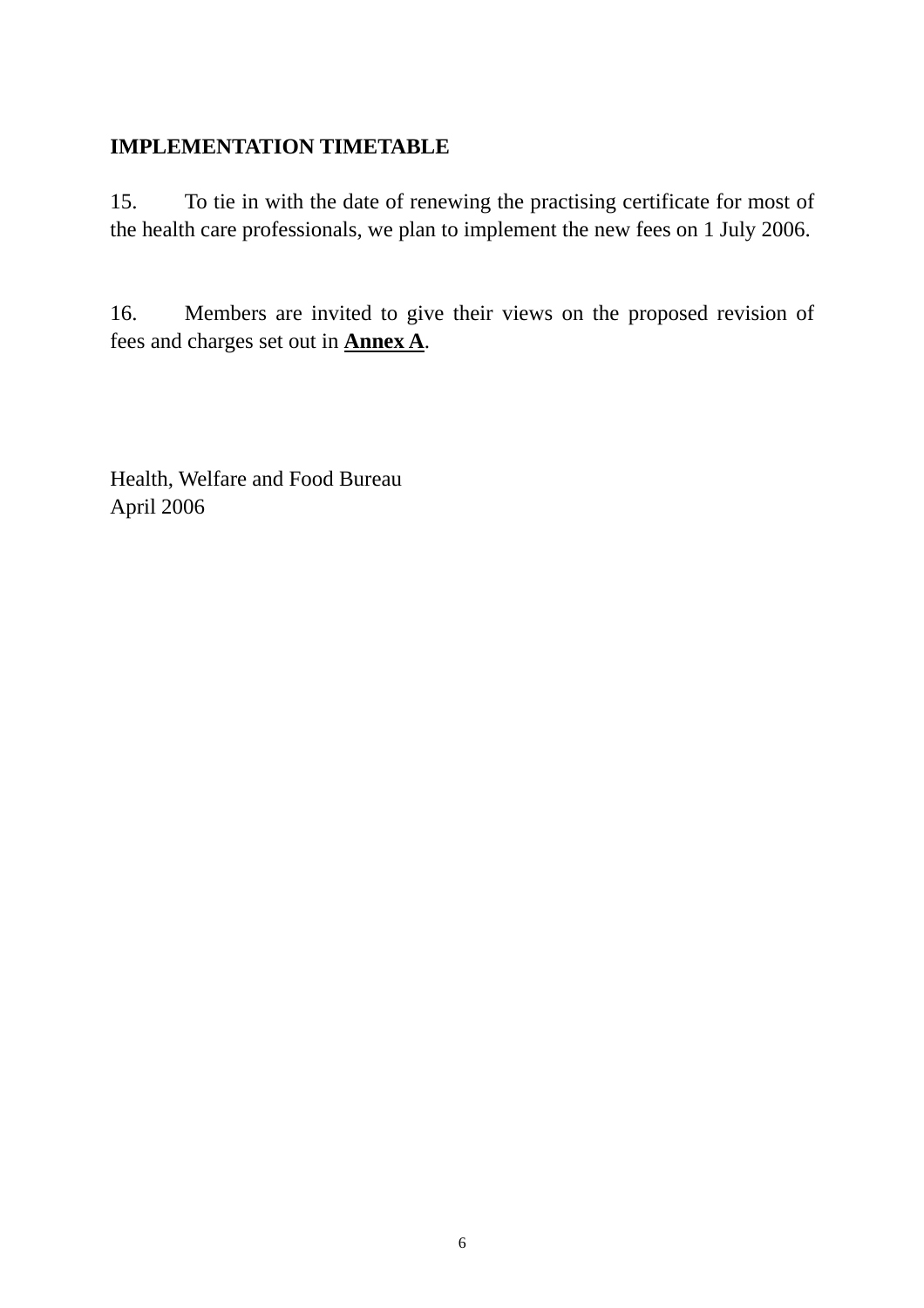#### **IMPLEMENTATION TIMETABLE**

15. To tie in with the date of renewing the practising certificate for most of the health care professionals, we plan to implement the new fees on 1 July 2006.

16. Members are invited to give their views on the proposed revision of fees and charges set out in **Annex A**.

Health, Welfare and Food Bureau April 2006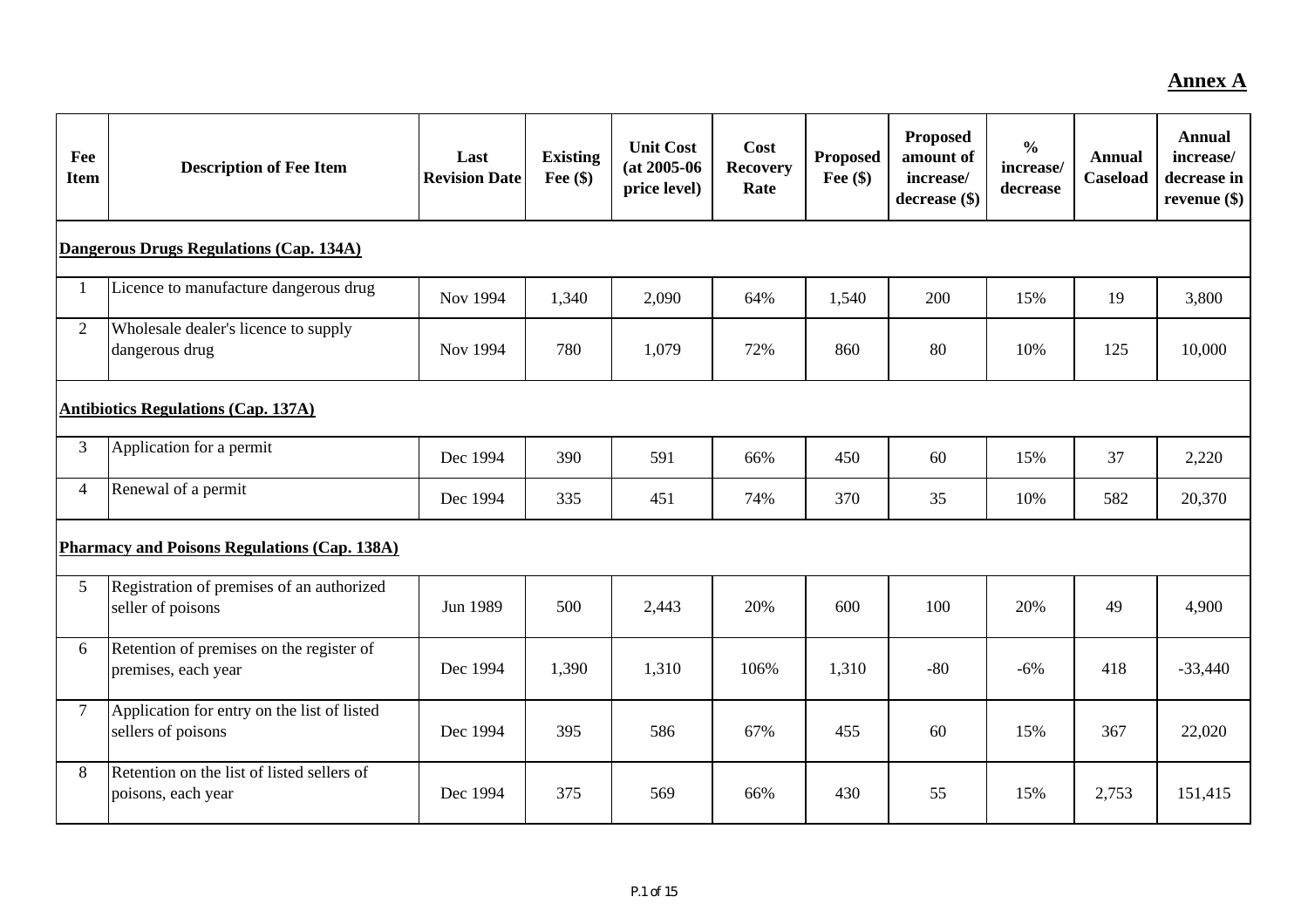#### **Annex A**

| Fee<br><b>Item</b> | <b>Description of Fee Item</b>                                    | Last<br><b>Revision Date</b> | <b>Existing</b><br>Fee $(\$)$ | <b>Unit Cost</b><br>$(at 2005-06)$<br>price level) | Cost<br><b>Recovery</b><br>Rate | <b>Proposed</b><br>Fee $(\$)$ | <b>Proposed</b><br>amount of<br>increase/<br>decrease (\$) | $\frac{0}{0}$<br>increase/<br>decrease | <b>Annual</b><br><b>Caseload</b> | <b>Annual</b><br>increase/<br>decrease in<br>revenue $(\$)$ |
|--------------------|-------------------------------------------------------------------|------------------------------|-------------------------------|----------------------------------------------------|---------------------------------|-------------------------------|------------------------------------------------------------|----------------------------------------|----------------------------------|-------------------------------------------------------------|
|                    | Dangerous Drugs Regulations (Cap. 134A)                           |                              |                               |                                                    |                                 |                               |                                                            |                                        |                                  |                                                             |
|                    | Licence to manufacture dangerous drug                             | Nov 1994                     | 1,340                         | 2,090                                              | 64%                             | 1,540                         | 200                                                        | 15%                                    | 19                               | 3,800                                                       |
| $\overline{2}$     | Wholesale dealer's licence to supply<br>dangerous drug            | Nov 1994                     | 780                           | 1,079                                              | 72%                             | 860                           | 80                                                         | 10%                                    | 125                              | 10,000                                                      |
|                    | <b>Antibiotics Regulations (Cap. 137A)</b>                        |                              |                               |                                                    |                                 |                               |                                                            |                                        |                                  |                                                             |
| 3                  | Application for a permit                                          | Dec 1994                     | 390                           | 591                                                | 66%                             | 450                           | 60                                                         | 15%                                    | 37                               | 2,220                                                       |
| 4                  | Renewal of a permit                                               | Dec 1994                     | 335                           | 451                                                | 74%                             | 370                           | 35                                                         | 10%                                    | 582                              | 20,370                                                      |
|                    | <b>Pharmacy and Poisons Regulations (Cap. 138A)</b>               |                              |                               |                                                    |                                 |                               |                                                            |                                        |                                  |                                                             |
| 5                  | Registration of premises of an authorized<br>seller of poisons    | Jun 1989                     | 500                           | 2,443                                              | 20%                             | 600                           | 100                                                        | 20%                                    | 49                               | 4,900                                                       |
| 6                  | Retention of premises on the register of<br>premises, each year   | Dec 1994                     | 1,390                         | 1,310                                              | 106%                            | 1,310                         | $-80$                                                      | $-6%$                                  | 418                              | $-33,440$                                                   |
| $\overline{7}$     | Application for entry on the list of listed<br>sellers of poisons | Dec 1994                     | 395                           | 586                                                | 67%                             | 455                           | 60                                                         | 15%                                    | 367                              | 22,020                                                      |
| 8                  | Retention on the list of listed sellers of<br>poisons, each year  | Dec 1994                     | 375                           | 569                                                | 66%                             | 430                           | 55                                                         | 15%                                    | 2,753                            | 151,415                                                     |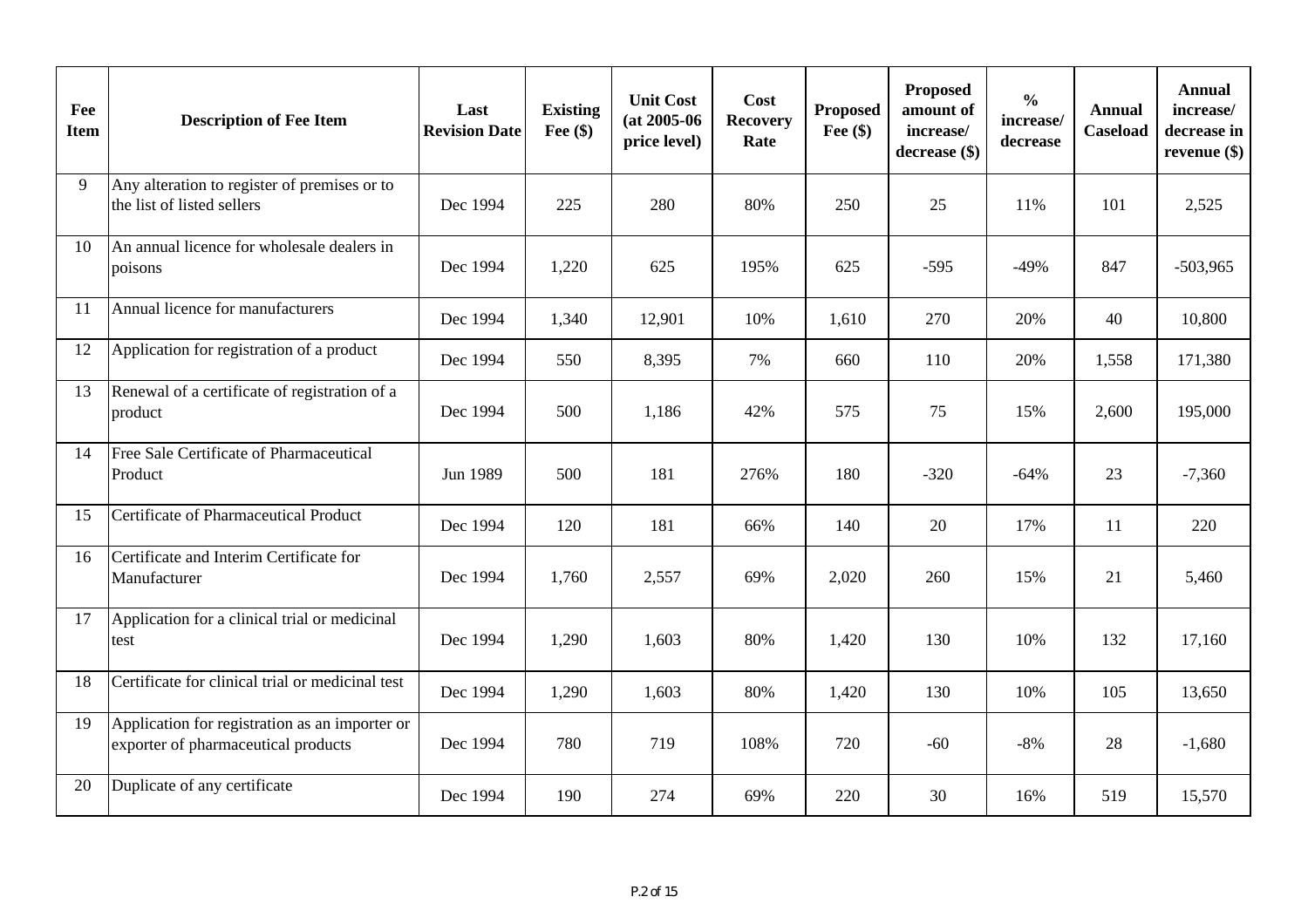| Fee<br><b>Item</b> | <b>Description of Fee Item</b>                                                        | Last<br><b>Revision Date</b> | <b>Existing</b><br>Fee $(\$)$ | <b>Unit Cost</b><br>$(at 2005-06$<br>price level) | Cost<br><b>Recovery</b><br>Rate | <b>Proposed</b><br>Fee $(\$)$ | <b>Proposed</b><br>amount of<br>increase/<br>decrease (\$) | $\frac{0}{0}$<br>increase/<br>decrease | <b>Annual</b><br>Caseload | <b>Annual</b><br>increase/<br>decrease in<br>revenue $(\$)$ |
|--------------------|---------------------------------------------------------------------------------------|------------------------------|-------------------------------|---------------------------------------------------|---------------------------------|-------------------------------|------------------------------------------------------------|----------------------------------------|---------------------------|-------------------------------------------------------------|
| 9                  | Any alteration to register of premises or to<br>the list of listed sellers            | Dec 1994                     | 225                           | 280                                               | 80%                             | 250                           | 25                                                         | 11%                                    | 101                       | 2,525                                                       |
| 10                 | An annual licence for wholesale dealers in<br>poisons                                 | Dec 1994                     | 1,220                         | 625                                               | 195%                            | 625                           | $-595$                                                     | $-49%$                                 | 847                       | $-503,965$                                                  |
| <sup>11</sup>      | Annual licence for manufacturers                                                      | Dec 1994                     | 1,340                         | 12,901                                            | 10%                             | 1,610                         | 270                                                        | 20%                                    | 40                        | 10,800                                                      |
| 12                 | Application for registration of a product                                             | Dec 1994                     | 550                           | 8,395                                             | 7%                              | 660                           | 110                                                        | 20%                                    | 1,558                     | 171,380                                                     |
| 13                 | Renewal of a certificate of registration of a<br>product                              | Dec 1994                     | 500                           | 1,186                                             | 42%                             | 575                           | 75                                                         | 15%                                    | 2,600                     | 195,000                                                     |
| 14                 | Free Sale Certificate of Pharmaceutical<br>Product                                    | Jun 1989                     | 500                           | 181                                               | 276%                            | 180                           | $-320$                                                     | $-64%$                                 | 23                        | $-7,360$                                                    |
| 15                 | Certificate of Pharmaceutical Product                                                 | Dec 1994                     | 120                           | 181                                               | 66%                             | 140                           | 20                                                         | 17%                                    | 11                        | 220                                                         |
| 16                 | Certificate and Interim Certificate for<br>Manufacturer                               | Dec 1994                     | 1,760                         | 2,557                                             | 69%                             | 2,020                         | 260                                                        | 15%                                    | 21                        | 5,460                                                       |
| 17                 | Application for a clinical trial or medicinal<br>test                                 | Dec 1994                     | 1,290                         | 1,603                                             | 80%                             | 1,420                         | 130                                                        | 10%                                    | 132                       | 17,160                                                      |
| 18                 | Certificate for clinical trial or medicinal test                                      | Dec 1994                     | 1,290                         | 1,603                                             | 80%                             | 1,420                         | 130                                                        | 10%                                    | 105                       | 13,650                                                      |
| 19                 | Application for registration as an importer or<br>exporter of pharmaceutical products | Dec 1994                     | 780                           | 719                                               | 108%                            | 720                           | $-60$                                                      | $-8%$                                  | 28                        | $-1,680$                                                    |
| 20                 | Duplicate of any certificate                                                          | Dec 1994                     | 190                           | 274                                               | 69%                             | 220                           | 30                                                         | 16%                                    | 519                       | 15,570                                                      |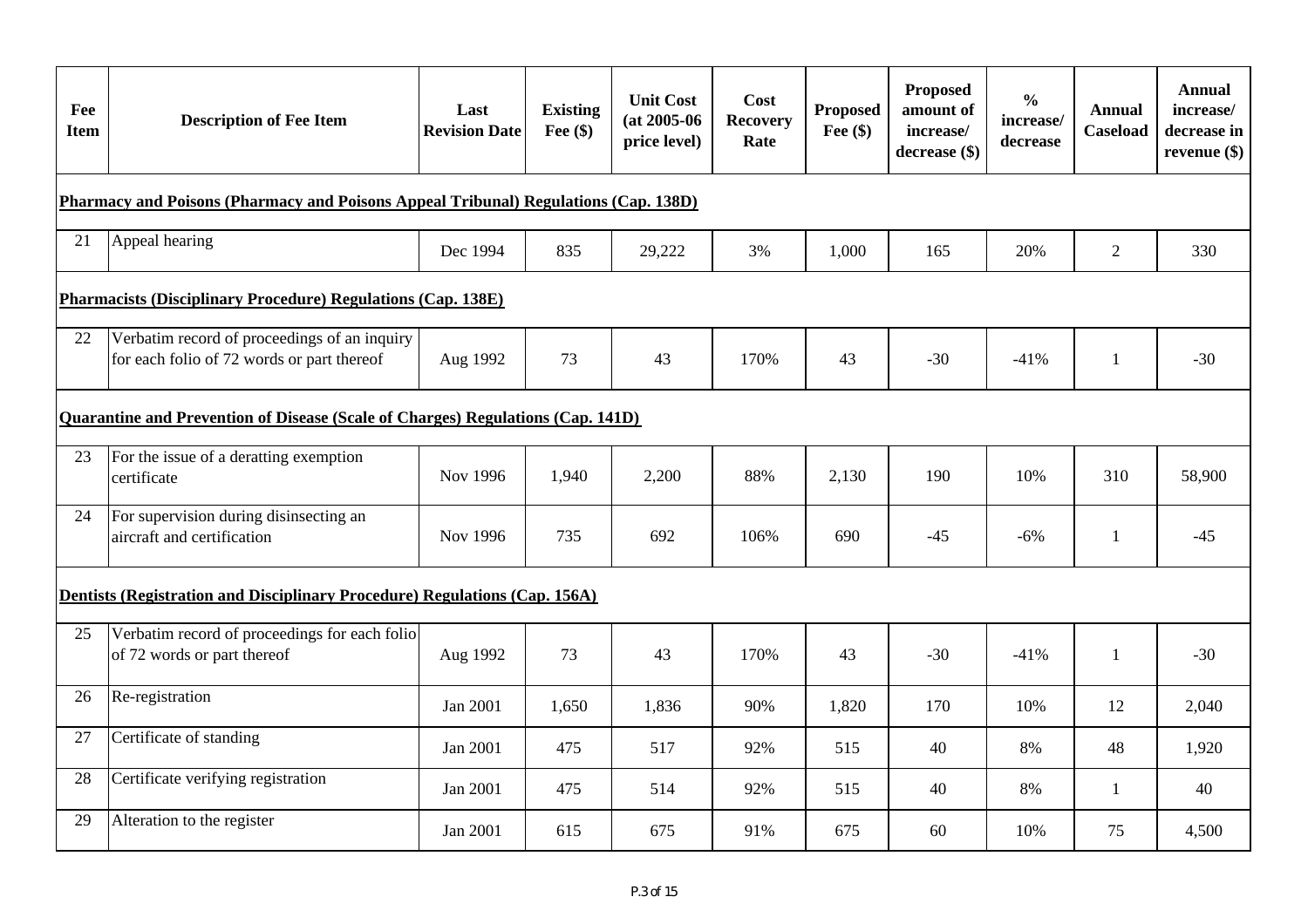| Fee<br><b>Item</b> | <b>Description of Fee Item</b>                                                             | Last<br><b>Revision Date</b> | <b>Existing</b><br>Fee $(\$)$ | <b>Unit Cost</b><br>$(at 2005-06$<br>price level) | Cost<br><b>Recovery</b><br>Rate | <b>Proposed</b><br>Fee $(\$)$ | Proposed<br>amount of<br>increase/<br>decrease (\$) | $\frac{0}{0}$<br>increase/<br>decrease | <b>Annual</b><br><b>Caseload</b> | Annual<br>increase/<br>decrease in<br>revenue $(\$)$ |
|--------------------|--------------------------------------------------------------------------------------------|------------------------------|-------------------------------|---------------------------------------------------|---------------------------------|-------------------------------|-----------------------------------------------------|----------------------------------------|----------------------------------|------------------------------------------------------|
|                    | Pharmacy and Poisons (Pharmacy and Poisons Appeal Tribunal) Regulations (Cap. 138D)        |                              |                               |                                                   |                                 |                               |                                                     |                                        |                                  |                                                      |
| 21                 | Appeal hearing                                                                             | Dec 1994                     | 835                           | 29,222                                            | 3%                              | 1,000                         | 165                                                 | 20%                                    | 2                                | 330                                                  |
|                    | <b>Pharmacists (Disciplinary Procedure) Regulations (Cap. 138E)</b>                        |                              |                               |                                                   |                                 |                               |                                                     |                                        |                                  |                                                      |
| 22                 | Verbatim record of proceedings of an inquiry<br>for each folio of 72 words or part thereof | Aug 1992                     | 73                            | 43                                                | 170%                            | 43                            | $-30$                                               | $-41%$                                 | 1                                | $-30$                                                |
|                    | Quarantine and Prevention of Disease (Scale of Charges) Regulations (Cap. 141D)            |                              |                               |                                                   |                                 |                               |                                                     |                                        |                                  |                                                      |
| 23                 | For the issue of a deratting exemption<br>certificate                                      | Nov 1996                     | 1,940                         | 2,200                                             | 88%                             | 2,130                         | 190                                                 | 10%                                    | 310                              | 58,900                                               |
| 24                 | For supervision during disinsecting an<br>aircraft and certification                       | Nov 1996                     | 735                           | 692                                               | 106%                            | 690                           | $-45$                                               | $-6%$                                  | $\mathbf{1}$                     | $-45$                                                |
|                    | Dentists (Registration and Disciplinary Procedure) Regulations (Cap. 156A)                 |                              |                               |                                                   |                                 |                               |                                                     |                                        |                                  |                                                      |
| 25                 | Verbatim record of proceedings for each folio<br>of 72 words or part thereof               | Aug 1992                     | 73                            | 43                                                | 170%                            | 43                            | $-30$                                               | $-41%$                                 | 1                                | $-30$                                                |
| 26                 | Re-registration                                                                            | Jan 2001                     | 1,650                         | 1,836                                             | 90%                             | 1,820                         | 170                                                 | 10%                                    | 12                               | 2,040                                                |
| 27                 | Certificate of standing                                                                    | Jan 2001                     | 475                           | 517                                               | 92%                             | 515                           | 40                                                  | 8%                                     | 48                               | 1,920                                                |
| 28                 | Certificate verifying registration                                                         | Jan 2001                     | 475                           | 514                                               | 92%                             | 515                           | 40                                                  | 8%                                     | $\mathbf{1}$                     | 40                                                   |
| 29                 | Alteration to the register                                                                 | Jan 2001                     | 615                           | 675                                               | 91%                             | 675                           | 60                                                  | 10%                                    | 75                               | 4,500                                                |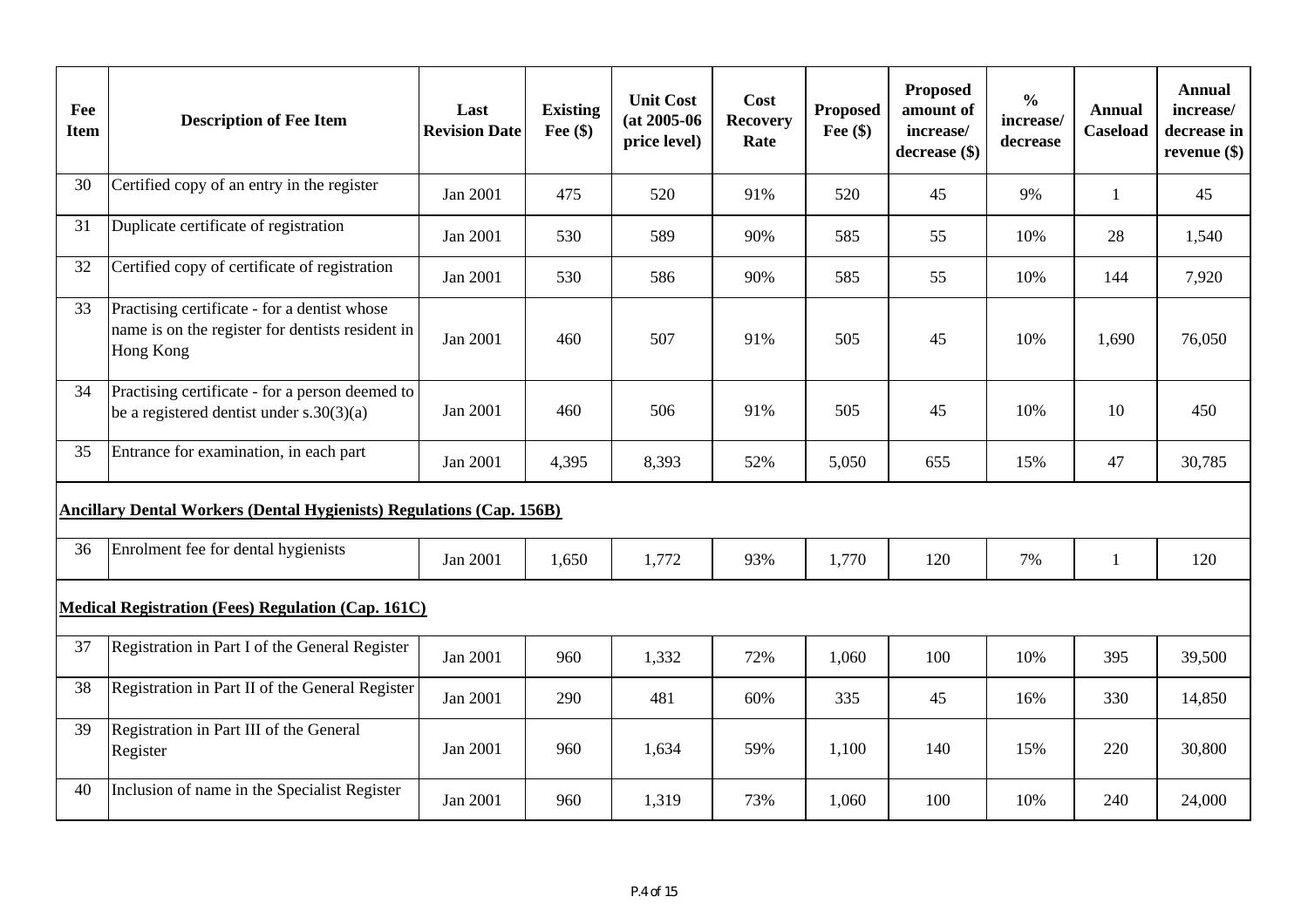| Fee<br><b>Item</b> | <b>Description of Fee Item</b>                                                                                | Last<br><b>Revision Date</b> | <b>Existing</b><br>Fee $(\$)$ | <b>Unit Cost</b><br>$(at 2005-06$<br>price level) | Cost<br><b>Recovery</b><br>Rate | <b>Proposed</b><br>Fee $(\$)$ | <b>Proposed</b><br>amount of<br>increase/<br>decrease (\$) | $\frac{0}{0}$<br>increase/<br>decrease | <b>Annual</b><br>Caseload | <b>Annual</b><br>increase/<br>decrease in<br>revenue $(\$)$ |
|--------------------|---------------------------------------------------------------------------------------------------------------|------------------------------|-------------------------------|---------------------------------------------------|---------------------------------|-------------------------------|------------------------------------------------------------|----------------------------------------|---------------------------|-------------------------------------------------------------|
| 30                 | Certified copy of an entry in the register                                                                    | Jan 2001                     | 475                           | 520                                               | 91%                             | 520                           | 45                                                         | 9%                                     | $\mathbf{1}$              | 45                                                          |
| 31                 | Duplicate certificate of registration                                                                         | Jan 2001                     | 530                           | 589                                               | 90%                             | 585                           | 55                                                         | 10%                                    | 28                        | 1,540                                                       |
| 32                 | Certified copy of certificate of registration                                                                 | Jan 2001                     | 530                           | 586                                               | 90%                             | 585                           | 55                                                         | 10%                                    | 144                       | 7,920                                                       |
| 33                 | Practising certificate - for a dentist whose<br>name is on the register for dentists resident in<br>Hong Kong | Jan 2001                     | 460                           | 507                                               | 91%                             | 505                           | 45                                                         | 10%                                    | 1,690                     | 76,050                                                      |
| 34                 | Practising certificate - for a person deemed to<br>be a registered dentist under $s.30(3)(a)$                 | Jan 2001                     | 460                           | 506                                               | 91%                             | 505                           | 45                                                         | 10%                                    | 10                        | 450                                                         |
| 35                 | Entrance for examination, in each part                                                                        | Jan 2001                     | 4,395                         | 8,393                                             | 52%                             | 5,050                         | 655                                                        | 15%                                    | 47                        | 30,785                                                      |
|                    | <b>Ancillary Dental Workers (Dental Hygienists) Regulations (Cap. 156B)</b>                                   |                              |                               |                                                   |                                 |                               |                                                            |                                        |                           |                                                             |
| 36                 | Enrolment fee for dental hygienists                                                                           | Jan 2001                     | 1,650                         | 1,772                                             | 93%                             | 1,770                         | 120                                                        | 7%                                     | $\mathbf{1}$              | 120                                                         |
|                    | <b>Medical Registration (Fees) Regulation (Cap. 161C)</b>                                                     |                              |                               |                                                   |                                 |                               |                                                            |                                        |                           |                                                             |
| 37                 | Registration in Part I of the General Register                                                                | Jan 2001                     | 960                           | 1,332                                             | 72%                             | 1,060                         | 100                                                        | 10%                                    | 395                       | 39,500                                                      |
| 38                 | Registration in Part II of the General Register                                                               | Jan 2001                     | 290                           | 481                                               | 60%                             | 335                           | 45                                                         | 16%                                    | 330                       | 14,850                                                      |
| 39                 | Registration in Part III of the General<br>Register                                                           | Jan 2001                     | 960                           | 1,634                                             | 59%                             | 1,100                         | 140                                                        | 15%                                    | 220                       | 30,800                                                      |
| 40                 | Inclusion of name in the Specialist Register                                                                  | Jan 2001                     | 960                           | 1,319                                             | 73%                             | 1,060                         | 100                                                        | 10%                                    | 240                       | 24,000                                                      |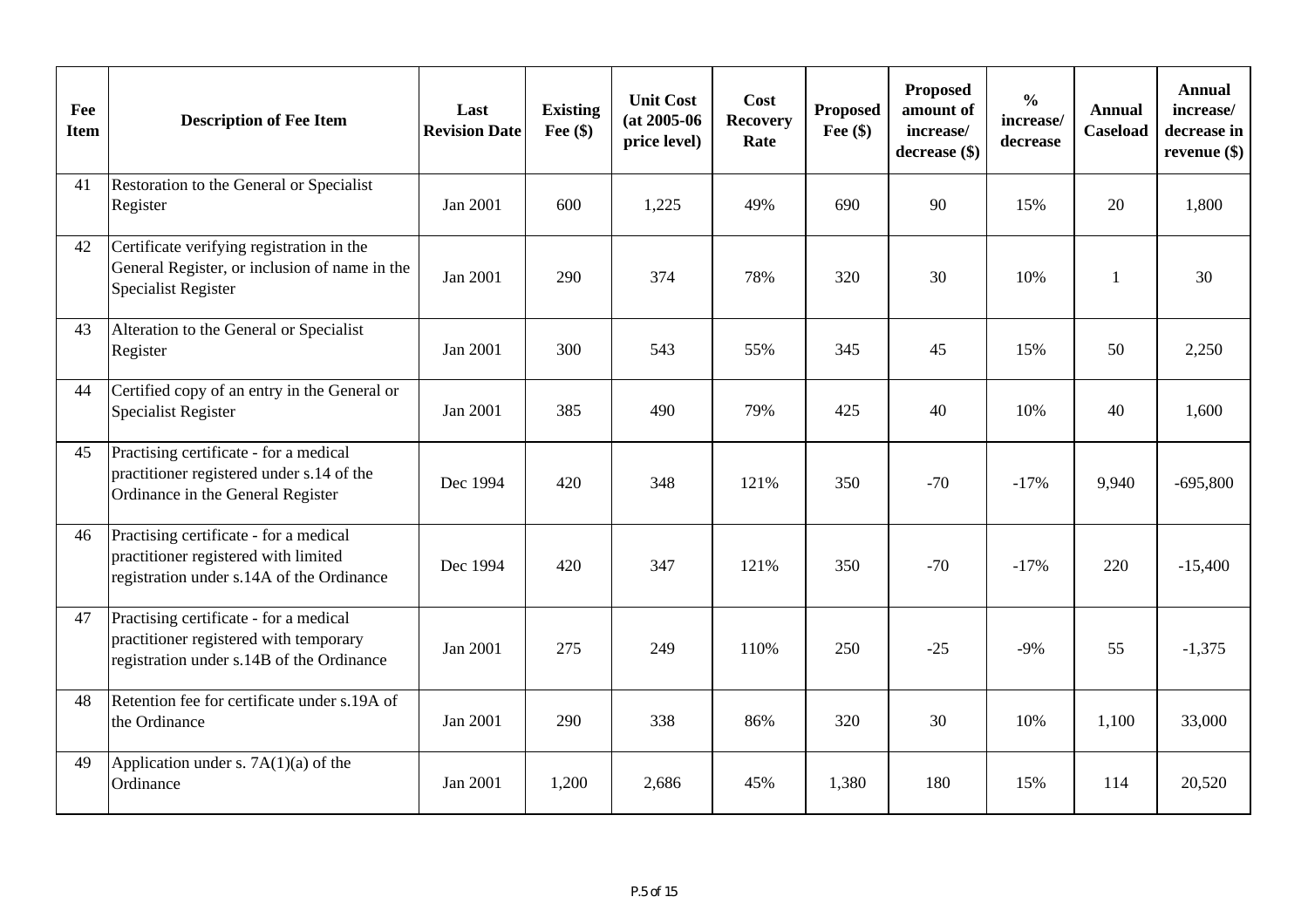| Fee<br><b>Item</b> | <b>Description of Fee Item</b>                                                                                                | Last<br><b>Revision Date</b> | <b>Existing</b><br>Fee $(\$)$ | <b>Unit Cost</b><br>$(at 2005-06)$<br>price level) | Cost<br><b>Recovery</b><br>Rate | <b>Proposed</b><br>Fee $(\$)$ | Proposed<br>amount of<br>increase/<br>decrease (\$) | $\frac{0}{0}$<br>increase/<br>decrease | <b>Annual</b><br>Caseload | <b>Annual</b><br>increase/<br>decrease in<br>revenue $(\$)$ |
|--------------------|-------------------------------------------------------------------------------------------------------------------------------|------------------------------|-------------------------------|----------------------------------------------------|---------------------------------|-------------------------------|-----------------------------------------------------|----------------------------------------|---------------------------|-------------------------------------------------------------|
| 41                 | Restoration to the General or Specialist<br>Register                                                                          | Jan 2001                     | 600                           | 1,225                                              | 49%                             | 690                           | 90                                                  | 15%                                    | 20                        | 1,800                                                       |
| 42                 | Certificate verifying registration in the<br>General Register, or inclusion of name in the<br><b>Specialist Register</b>      | Jan 2001                     | 290                           | 374                                                | 78%                             | 320                           | 30                                                  | 10%                                    | $\mathbf{1}$              | 30                                                          |
| 43                 | Alteration to the General or Specialist<br>Register                                                                           | Jan 2001                     | 300                           | 543                                                | 55%                             | 345                           | 45                                                  | 15%                                    | 50                        | 2,250                                                       |
| 44                 | Certified copy of an entry in the General or<br><b>Specialist Register</b>                                                    | Jan 2001                     | 385                           | 490                                                | 79%                             | 425                           | 40                                                  | 10%                                    | 40                        | 1,600                                                       |
| 45                 | Practising certificate - for a medical<br>practitioner registered under s.14 of the<br>Ordinance in the General Register      | Dec 1994                     | 420                           | 348                                                | 121%                            | 350                           | $-70$                                               | $-17%$                                 | 9,940                     | $-695,800$                                                  |
| 46                 | Practising certificate - for a medical<br>practitioner registered with limited<br>registration under s.14A of the Ordinance   | Dec 1994                     | 420                           | 347                                                | 121%                            | 350                           | $-70$                                               | $-17%$                                 | 220                       | $-15,400$                                                   |
| 47                 | Practising certificate - for a medical<br>practitioner registered with temporary<br>registration under s.14B of the Ordinance | Jan 2001                     | 275                           | 249                                                | 110%                            | 250                           | $-25$                                               | $-9%$                                  | 55                        | $-1,375$                                                    |
| 48                 | Retention fee for certificate under s.19A of<br>the Ordinance                                                                 | Jan 2001                     | 290                           | 338                                                | 86%                             | 320                           | 30                                                  | 10%                                    | 1,100                     | 33,000                                                      |
| 49                 | Application under s. $7A(1)(a)$ of the<br>Ordinance                                                                           | Jan 2001                     | 1,200                         | 2,686                                              | 45%                             | 1,380                         | 180                                                 | 15%                                    | 114                       | 20,520                                                      |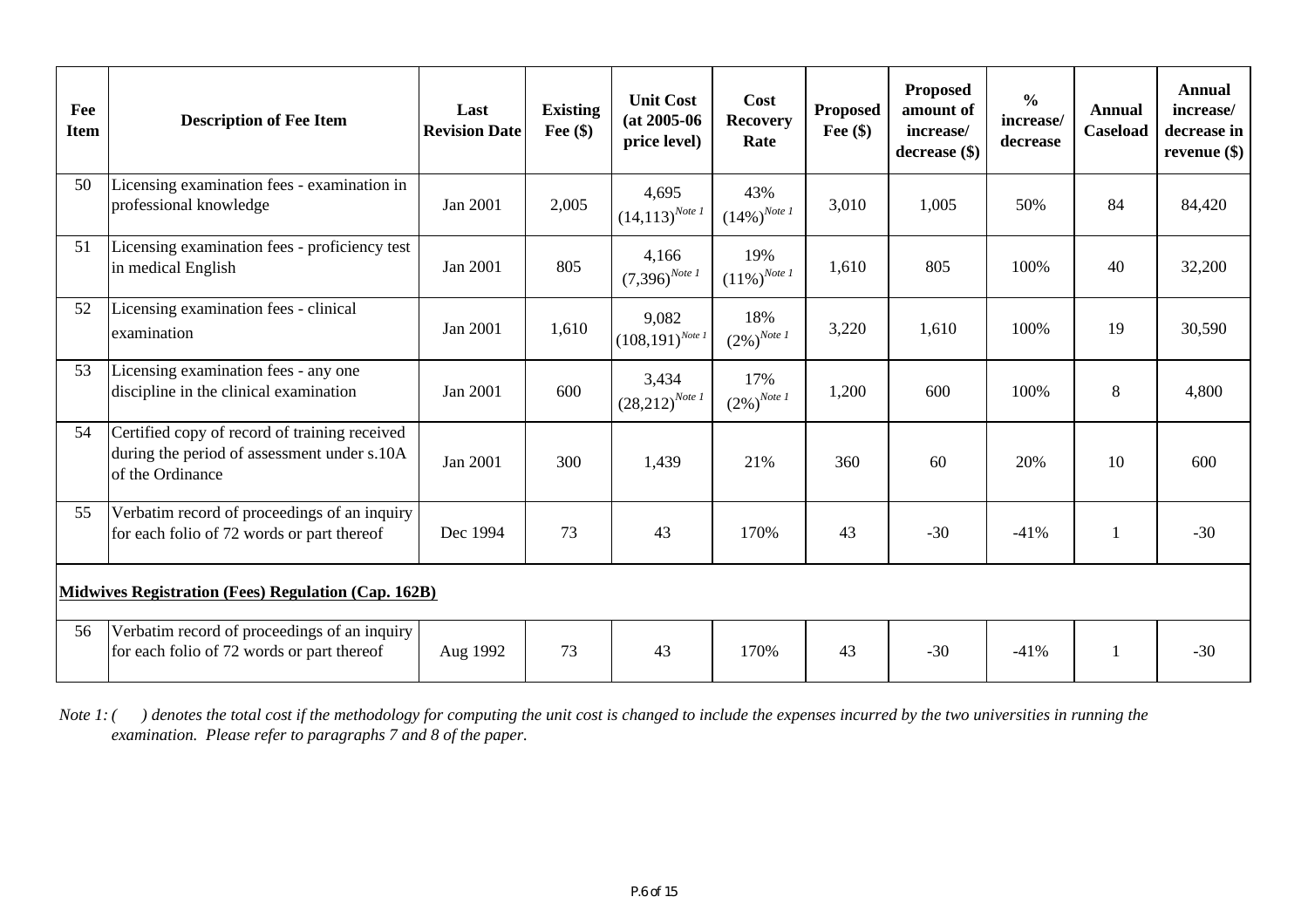| Fee<br><b>Item</b> | <b>Description of Fee Item</b>                                                                                   | Last<br><b>Revision Date</b> | <b>Existing</b><br>Fee $(\$)$ | <b>Unit Cost</b><br>$(at 2005-06)$<br>price level) | Cost<br><b>Recovery</b><br>Rate         | <b>Proposed</b><br>Fee $(\$)$ | Proposed<br>amount of<br>increase/<br>decrease (\$) | $\frac{0}{0}$<br>increase/<br>decrease | <b>Annual</b><br>Caseload | Annual<br>increase/<br>decrease in<br>revenue $(\$)$ |
|--------------------|------------------------------------------------------------------------------------------------------------------|------------------------------|-------------------------------|----------------------------------------------------|-----------------------------------------|-------------------------------|-----------------------------------------------------|----------------------------------------|---------------------------|------------------------------------------------------|
| 50                 | Licensing examination fees - examination in<br>professional knowledge                                            | Jan 2001                     | 2,005                         | 4,695<br>$(14, 113)^{Note I}$                      | 43%<br>$(14\%)^{Note I}$                | 3,010                         | 1,005                                               | 50%                                    | 84                        | 84,420                                               |
| 51                 | Licensing examination fees - proficiency test<br>in medical English                                              | Jan 2001                     | 805                           | 4,166<br>$(7,396)^{Note I}$                        | 19%<br>$\left(11\% \right)^{Note \; I}$ | 1,610                         | 805                                                 | 100%                                   | 40                        | 32,200                                               |
| 52                 | Licensing examination fees - clinical<br>examination                                                             | Jan 2001                     | 1,610                         | 9,082<br>$(108,191)^{Note I}$                      | 18%<br>$(2\%)^{Note \; I}$              | 3,220                         | 1,610                                               | 100%                                   | 19                        | 30,590                                               |
| 53                 | Licensing examination fees - any one<br>discipline in the clinical examination                                   | Jan 2001                     | 600                           | 3,434<br>$(28,212)^{Note \; I}$                    | 17%<br>$(2\%)^{Note \; I}$              | 1,200                         | 600                                                 | 100%                                   | 8                         | 4,800                                                |
| 54                 | Certified copy of record of training received<br>during the period of assessment under s.10A<br>of the Ordinance | Jan 2001                     | 300                           | 1,439                                              | 21%                                     | 360                           | 60                                                  | 20%                                    | 10                        | 600                                                  |
| 55                 | Verbatim record of proceedings of an inquiry<br>for each folio of 72 words or part thereof                       | Dec 1994                     | 73                            | 43                                                 | 170%                                    | 43                            | $-30$                                               | $-41%$                                 |                           | $-30$                                                |
|                    | Midwives Registration (Fees) Regulation (Cap. 162B)                                                              |                              |                               |                                                    |                                         |                               |                                                     |                                        |                           |                                                      |
| 56                 | Verbatim record of proceedings of an inquiry<br>for each folio of 72 words or part thereof                       | Aug 1992                     | 73                            | 43                                                 | 170%                                    | 43                            | $-30$                                               | $-41%$                                 |                           | $-30$                                                |

*Note 1: ( ) denotes the total cost if the methodology for computing the unit cost is changed to include the expenses incurred by the two universities in running the examination. Please refer to paragraphs 7 and 8 of the paper.*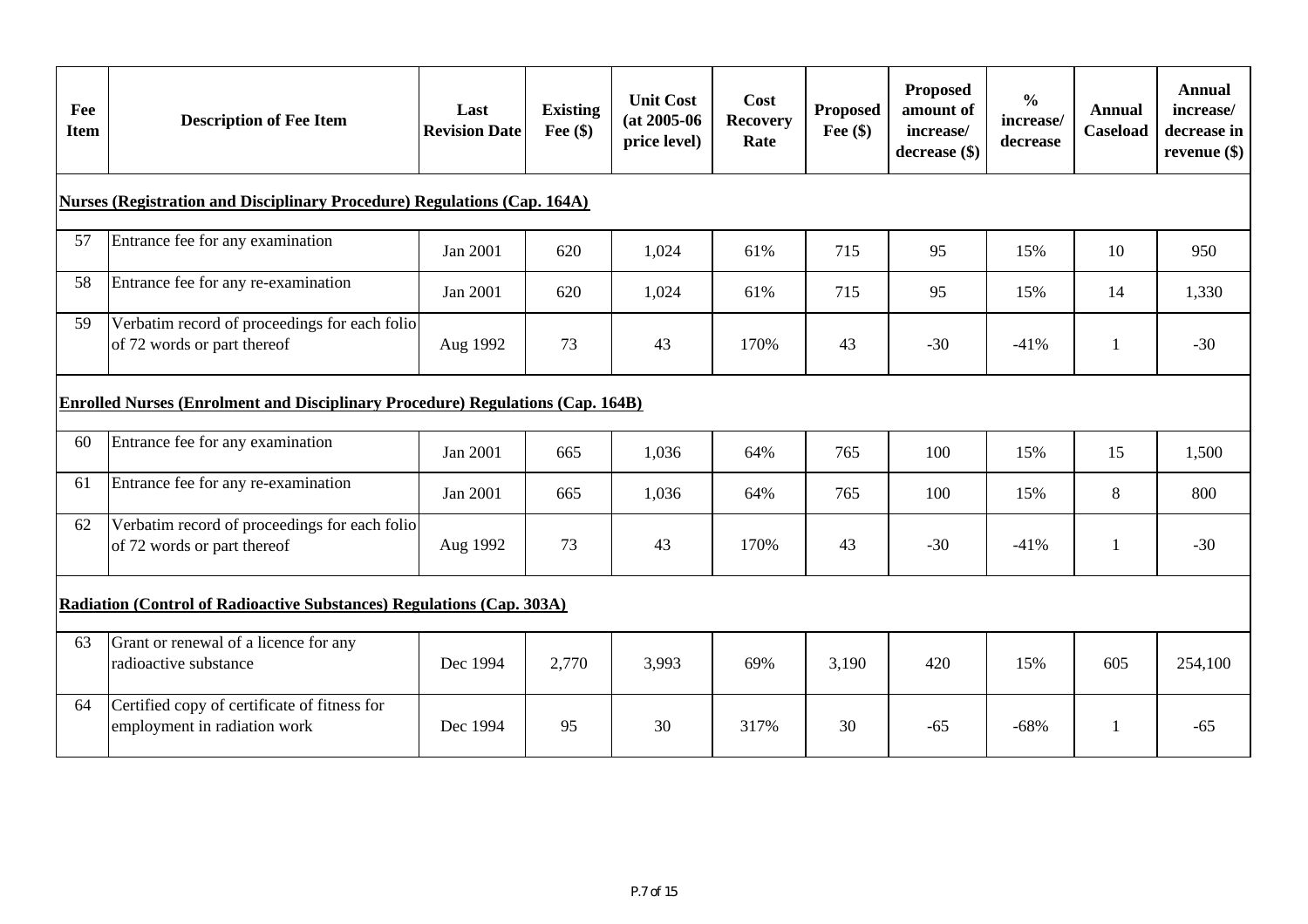| Fee<br><b>Item</b> | <b>Description of Fee Item</b>                                                        | Last<br><b>Revision Date</b> | <b>Existing</b><br>Fee $(\$)$ | <b>Unit Cost</b><br>$(at 2005-06)$<br>price level) | Cost<br><b>Recovery</b><br>Rate | <b>Proposed</b><br>Fee $(\$)$ | <b>Proposed</b><br>amount of<br>increase/<br>$decrease$ (\$) | $\frac{0}{0}$<br>increase/<br>decrease | <b>Annual</b><br><b>Caseload</b> | <b>Annual</b><br>increase/<br>decrease in<br>revenue $(\$)$ |
|--------------------|---------------------------------------------------------------------------------------|------------------------------|-------------------------------|----------------------------------------------------|---------------------------------|-------------------------------|--------------------------------------------------------------|----------------------------------------|----------------------------------|-------------------------------------------------------------|
|                    | <b>Nurses (Registration and Disciplinary Procedure) Regulations (Cap. 164A)</b>       |                              |                               |                                                    |                                 |                               |                                                              |                                        |                                  |                                                             |
| 57                 | Entrance fee for any examination                                                      | Jan 2001                     | 620                           | 1,024                                              | 61%                             | 715                           | 95                                                           | 15%                                    | 10                               | 950                                                         |
| 58                 | Entrance fee for any re-examination                                                   | Jan 2001                     | 620                           | 1,024                                              | 61%                             | 715                           | 95                                                           | 15%                                    | 14                               | 1,330                                                       |
| 59                 | Verbatim record of proceedings for each folio<br>of 72 words or part thereof          | Aug 1992                     | 73                            | 43                                                 | 170%                            | 43                            | $-30$                                                        | $-41%$                                 | 1                                | $-30$                                                       |
|                    | <b>Enrolled Nurses (Enrolment and Disciplinary Procedure) Regulations (Cap. 164B)</b> |                              |                               |                                                    |                                 |                               |                                                              |                                        |                                  |                                                             |
| 60                 | Entrance fee for any examination                                                      | Jan 2001                     | 665                           | 1,036                                              | 64%                             | 765                           | 100                                                          | 15%                                    | 15                               | 1,500                                                       |
| 61                 | Entrance fee for any re-examination                                                   | Jan 2001                     | 665                           | 1,036                                              | 64%                             | 765                           | 100                                                          | 15%                                    | 8                                | 800                                                         |
| 62                 | Verbatim record of proceedings for each folio<br>of 72 words or part thereof          | Aug 1992                     | 73                            | 43                                                 | 170%                            | 43                            | $-30$                                                        | $-41%$                                 | $\mathbf{1}$                     | $-30$                                                       |
|                    | Radiation (Control of Radioactive Substances) Regulations (Cap. 303A)                 |                              |                               |                                                    |                                 |                               |                                                              |                                        |                                  |                                                             |
| 63                 | Grant or renewal of a licence for any<br>radioactive substance                        | Dec 1994                     | 2,770                         | 3,993                                              | 69%                             | 3,190                         | 420                                                          | 15%                                    | 605                              | 254,100                                                     |
| 64                 | Certified copy of certificate of fitness for<br>employment in radiation work          | Dec 1994                     | 95                            | 30                                                 | 317%                            | 30                            | $-65$                                                        | $-68%$                                 | 1                                | $-65$                                                       |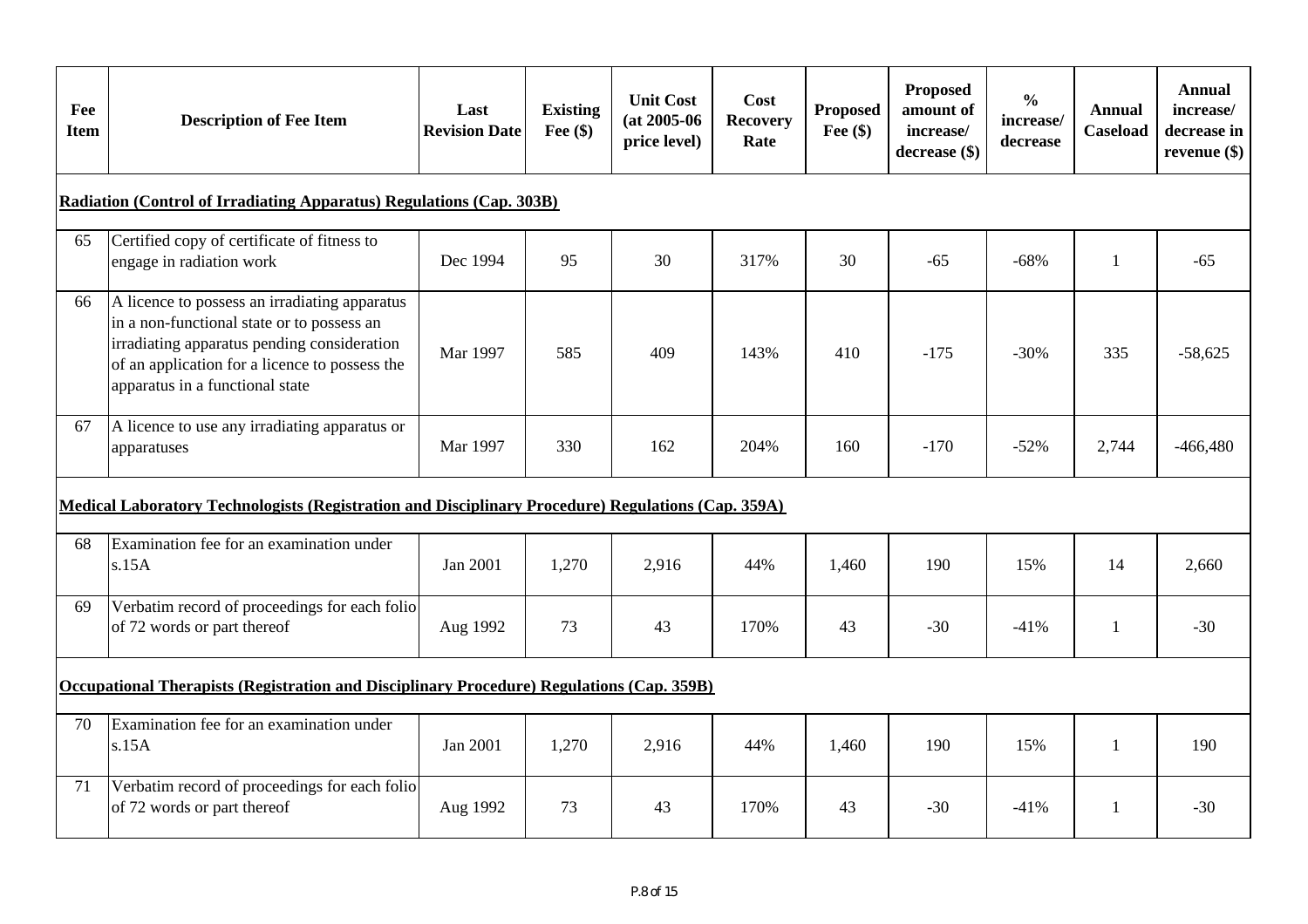| Fee<br><b>Item</b> | <b>Description of Fee Item</b>                                                                                                                                                                                                  | Last<br><b>Revision Date</b> | <b>Existing</b><br>Fee $(\$)$ | <b>Unit Cost</b><br>$(at 2005-06)$<br>price level) | Cost<br><b>Recovery</b><br>Rate | Proposed<br>Fee $(\$)$ | <b>Proposed</b><br>amount of<br>increase/<br>decrease (\$) | $\frac{0}{0}$<br>increase/<br>decrease | Annual<br><b>Caseload</b> | <b>Annual</b><br>increase/<br>decrease in<br>revenue $(\$)$ |
|--------------------|---------------------------------------------------------------------------------------------------------------------------------------------------------------------------------------------------------------------------------|------------------------------|-------------------------------|----------------------------------------------------|---------------------------------|------------------------|------------------------------------------------------------|----------------------------------------|---------------------------|-------------------------------------------------------------|
|                    | <b>Radiation (Control of Irradiating Apparatus) Regulations (Cap. 303B)</b>                                                                                                                                                     |                              |                               |                                                    |                                 |                        |                                                            |                                        |                           |                                                             |
| 65                 | Certified copy of certificate of fitness to<br>engage in radiation work                                                                                                                                                         | Dec 1994                     | 95                            | 30                                                 | 317%                            | 30                     | $-65$                                                      | $-68%$                                 | $\mathbf{1}$              | $-65$                                                       |
| 66                 | A licence to possess an irradiating apparatus<br>in a non-functional state or to possess an<br>irradiating apparatus pending consideration<br>of an application for a licence to possess the<br>apparatus in a functional state | Mar 1997                     | 585                           | 409                                                | 143%                            | 410                    | $-175$                                                     | $-30%$                                 | 335                       | $-58,625$                                                   |
| 67                 | A licence to use any irradiating apparatus or<br>apparatuses                                                                                                                                                                    | Mar 1997                     | 330                           | 162                                                | 204%                            | 160                    | $-170$                                                     | $-52%$                                 | 2,744                     | $-466,480$                                                  |
|                    | Medical Laboratory Technologists (Registration and Disciplinary Procedure) Regulations (Cap. 359A)                                                                                                                              |                              |                               |                                                    |                                 |                        |                                                            |                                        |                           |                                                             |
| 68                 | Examination fee for an examination under<br>s.15A                                                                                                                                                                               | Jan 2001                     | 1,270                         | 2,916                                              | 44%                             | 1,460                  | 190                                                        | 15%                                    | 14                        | 2,660                                                       |
| 69                 | Verbatim record of proceedings for each folio<br>of 72 words or part thereof                                                                                                                                                    | Aug 1992                     | 73                            | 43                                                 | 170%                            | 43                     | $-30$                                                      | $-41%$                                 | 1                         | $-30$                                                       |
|                    | Occupational Therapists (Registration and Disciplinary Procedure) Regulations (Cap. 359B)                                                                                                                                       |                              |                               |                                                    |                                 |                        |                                                            |                                        |                           |                                                             |
| 70                 | Examination fee for an examination under<br>s.15A                                                                                                                                                                               | Jan 2001                     | 1,270                         | 2,916                                              | 44%                             | 1,460                  | 190                                                        | 15%                                    | $\mathbf{1}$              | 190                                                         |
| 71                 | Verbatim record of proceedings for each folio<br>of 72 words or part thereof                                                                                                                                                    | Aug 1992                     | 73                            | 43                                                 | 170%                            | 43                     | $-30$                                                      | $-41%$                                 | 1                         | $-30$                                                       |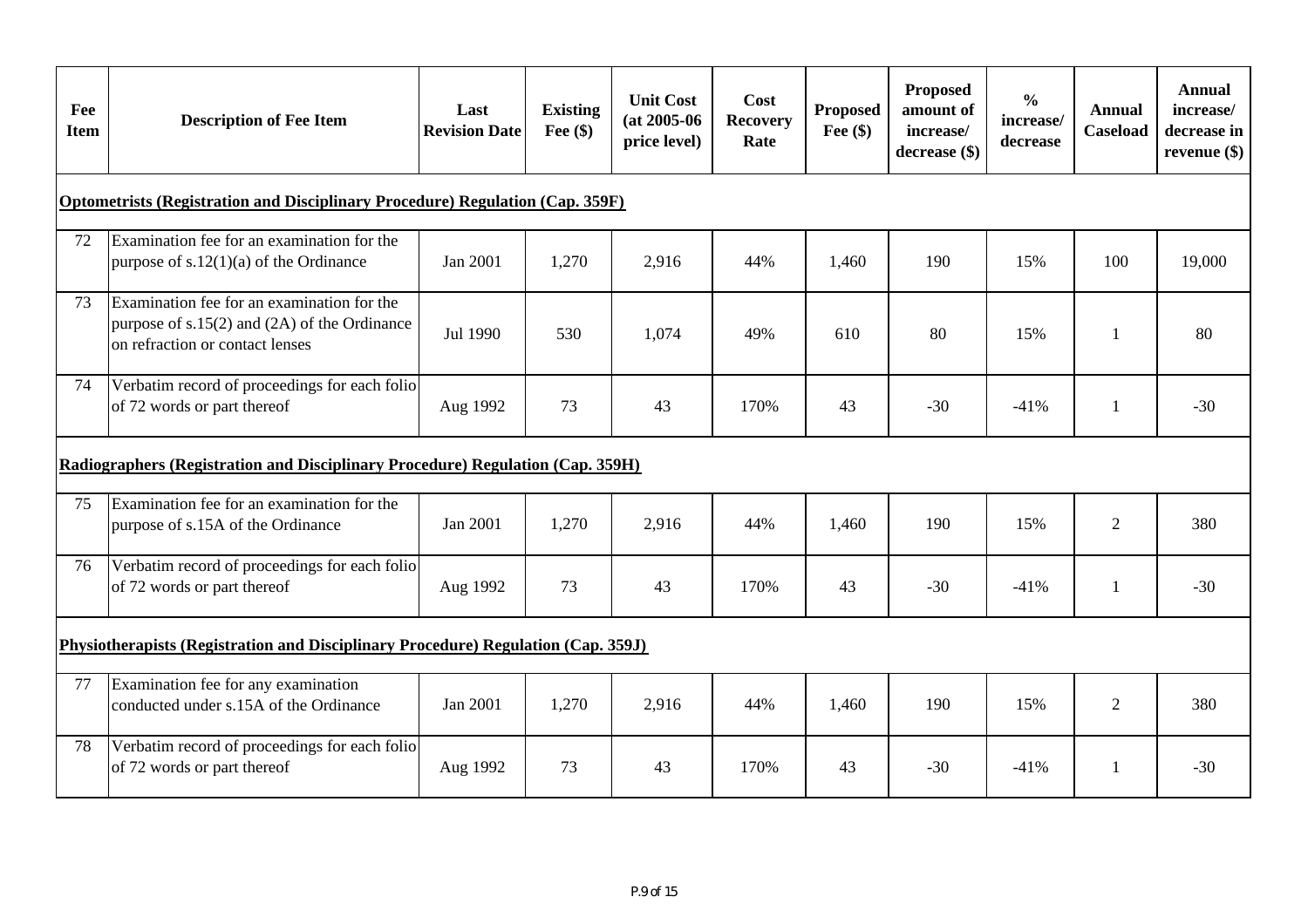| Fee<br><b>Item</b> | <b>Description of Fee Item</b>                                                                                                    | Last<br><b>Revision Date</b> | <b>Existing</b><br>Fee $(\$)$ | <b>Unit Cost</b><br>$(at 2005-06)$<br>price level) | Cost<br><b>Recovery</b><br>Rate | <b>Proposed</b><br>Fee $(\$)$ | Proposed<br>amount of<br>increase/<br>decrease (\$) | $\frac{0}{0}$<br>increase/<br>decrease | <b>Annual</b><br><b>Caseload</b> | <b>Annual</b><br>increase/<br>decrease in<br>revenue $(\$)$ |
|--------------------|-----------------------------------------------------------------------------------------------------------------------------------|------------------------------|-------------------------------|----------------------------------------------------|---------------------------------|-------------------------------|-----------------------------------------------------|----------------------------------------|----------------------------------|-------------------------------------------------------------|
|                    | <b>Optometrists (Registration and Disciplinary Procedure) Regulation (Cap. 359F)</b>                                              |                              |                               |                                                    |                                 |                               |                                                     |                                        |                                  |                                                             |
| 72                 | Examination fee for an examination for the<br>purpose of $s.12(1)(a)$ of the Ordinance                                            | Jan 2001                     | 1,270                         | 2,916                                              | 44%                             | 1,460                         | 190                                                 | 15%                                    | 100                              | 19,000                                                      |
| 73                 | Examination fee for an examination for the<br>purpose of $s.15(2)$ and $(2A)$ of the Ordinance<br>on refraction or contact lenses | Jul 1990                     | 530                           | 1,074                                              | 49%                             | 610                           | 80                                                  | 15%                                    | 1                                | 80                                                          |
| 74                 | Verbatim record of proceedings for each folio<br>of 72 words or part thereof                                                      | Aug 1992                     | 73                            | 43                                                 | 170%                            | 43                            | $-30$                                               | $-41%$                                 | 1                                | $-30$                                                       |
|                    | Radiographers (Registration and Disciplinary Procedure) Regulation (Cap. 359H)                                                    |                              |                               |                                                    |                                 |                               |                                                     |                                        |                                  |                                                             |
| 75                 | Examination fee for an examination for the<br>purpose of s.15A of the Ordinance                                                   | Jan 2001                     | 1,270                         | 2,916                                              | 44%                             | 1,460                         | 190                                                 | 15%                                    | $\overline{2}$                   | 380                                                         |
| 76                 | Verbatim record of proceedings for each folio<br>of 72 words or part thereof                                                      | Aug 1992                     | 73                            | 43                                                 | 170%                            | 43                            | $-30$                                               | $-41%$                                 | 1                                | $-30$                                                       |
|                    | Physiotherapists (Registration and Disciplinary Procedure) Regulation (Cap. 359J)                                                 |                              |                               |                                                    |                                 |                               |                                                     |                                        |                                  |                                                             |
| 77                 | Examination fee for any examination<br>conducted under s.15A of the Ordinance                                                     | Jan 2001                     | 1,270                         | 2,916                                              | 44%                             | 1,460                         | 190                                                 | 15%                                    | $\overline{2}$                   | 380                                                         |
| 78                 | Verbatim record of proceedings for each folio<br>of 72 words or part thereof                                                      | Aug 1992                     | 73                            | 43                                                 | 170%                            | 43                            | $-30$                                               | $-41%$                                 | 1                                | $-30$                                                       |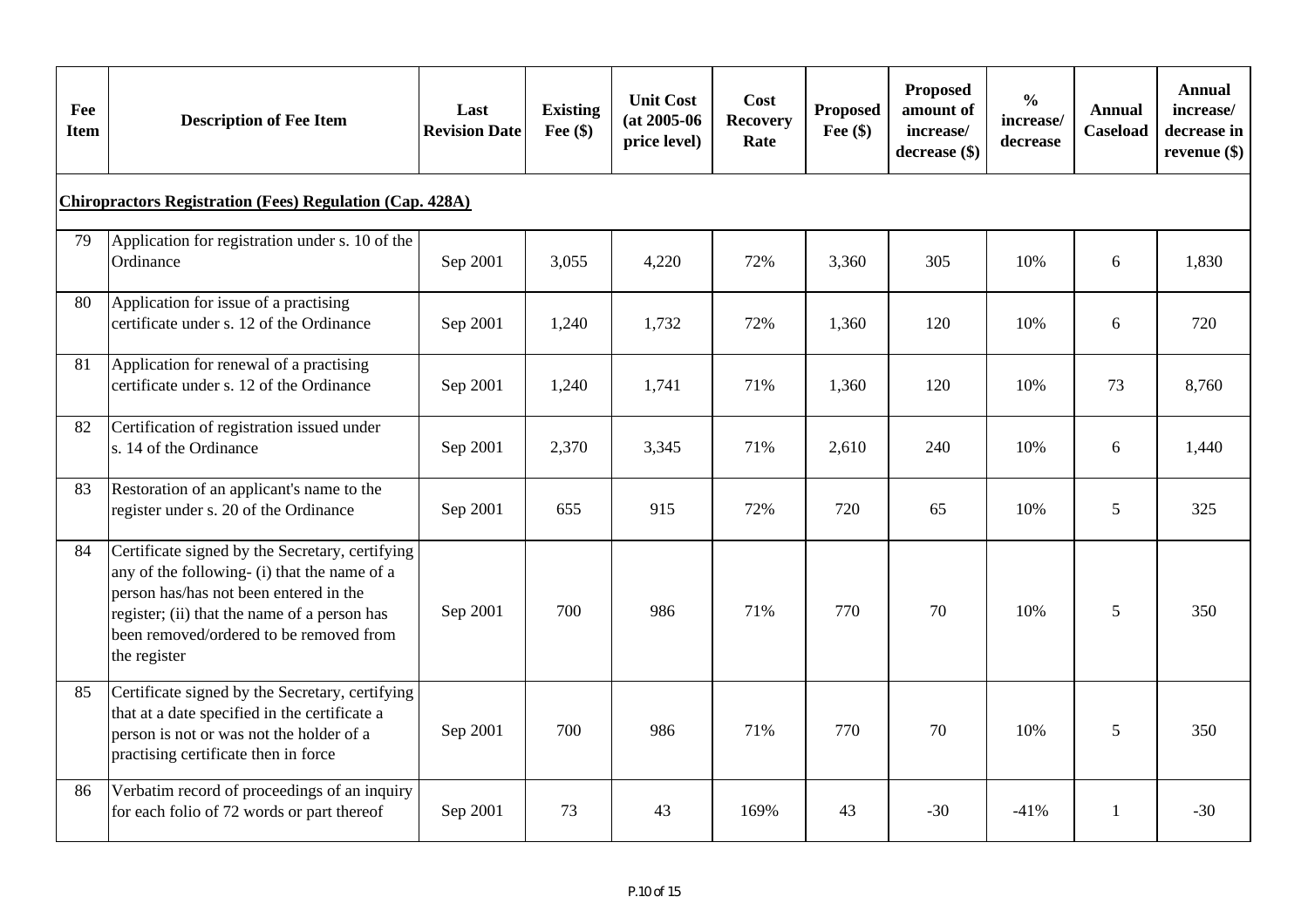| Fee<br><b>Item</b> | <b>Description of Fee Item</b>                                                                                                                                                                                                                       | Last<br><b>Revision Date</b> | <b>Existing</b><br>Fee $(\$)$ | <b>Unit Cost</b><br>$(at 2005-06)$<br>price level) | Cost<br><b>Recovery</b><br>Rate | <b>Proposed</b><br>Fee $(\$)$ | <b>Proposed</b><br>amount of<br>increase/<br>decrease (\$) | $\frac{0}{0}$<br>increase/<br>decrease | <b>Annual</b><br><b>Caseload</b> | Annual<br>increase/<br>decrease in<br>revenue $(\$)$ |
|--------------------|------------------------------------------------------------------------------------------------------------------------------------------------------------------------------------------------------------------------------------------------------|------------------------------|-------------------------------|----------------------------------------------------|---------------------------------|-------------------------------|------------------------------------------------------------|----------------------------------------|----------------------------------|------------------------------------------------------|
|                    | <b>Chiropractors Registration (Fees) Regulation (Cap. 428A)</b>                                                                                                                                                                                      |                              |                               |                                                    |                                 |                               |                                                            |                                        |                                  |                                                      |
| 79                 | Application for registration under s. 10 of the<br>Ordinance                                                                                                                                                                                         | Sep 2001                     | 3,055                         | 4,220                                              | 72%                             | 3,360                         | 305                                                        | 10%                                    | 6                                | 1,830                                                |
| 80                 | Application for issue of a practising<br>certificate under s. 12 of the Ordinance                                                                                                                                                                    | Sep 2001                     | 1,240                         | 1,732                                              | 72%                             | 1,360                         | 120                                                        | 10%                                    | 6                                | 720                                                  |
| 81                 | Application for renewal of a practising<br>certificate under s. 12 of the Ordinance                                                                                                                                                                  | Sep 2001                     | 1,240                         | 1,741                                              | 71%                             | 1,360                         | 120                                                        | 10%                                    | 73                               | 8,760                                                |
| 82                 | Certification of registration issued under<br>s. 14 of the Ordinance                                                                                                                                                                                 | Sep 2001                     | 2,370                         | 3,345                                              | 71%                             | 2,610                         | 240                                                        | 10%                                    | 6                                | 1,440                                                |
| 83                 | Restoration of an applicant's name to the<br>register under s. 20 of the Ordinance                                                                                                                                                                   | Sep 2001                     | 655                           | 915                                                | 72%                             | 720                           | 65                                                         | 10%                                    | 5                                | 325                                                  |
| 84                 | Certificate signed by the Secretary, certifying<br>any of the following- (i) that the name of a<br>person has/has not been entered in the<br>register; (ii) that the name of a person has<br>been removed/ordered to be removed from<br>the register | Sep 2001                     | 700                           | 986                                                | 71%                             | 770                           | 70                                                         | 10%                                    | 5                                | 350                                                  |
| 85                 | Certificate signed by the Secretary, certifying<br>that at a date specified in the certificate a<br>person is not or was not the holder of a<br>practising certificate then in force                                                                 | Sep 2001                     | 700                           | 986                                                | 71%                             | 770                           | 70                                                         | 10%                                    | 5                                | 350                                                  |
| 86                 | Verbatim record of proceedings of an inquiry<br>for each folio of 72 words or part thereof                                                                                                                                                           | Sep 2001                     | 73                            | 43                                                 | 169%                            | 43                            | $-30$                                                      | $-41%$                                 | 1                                | $-30$                                                |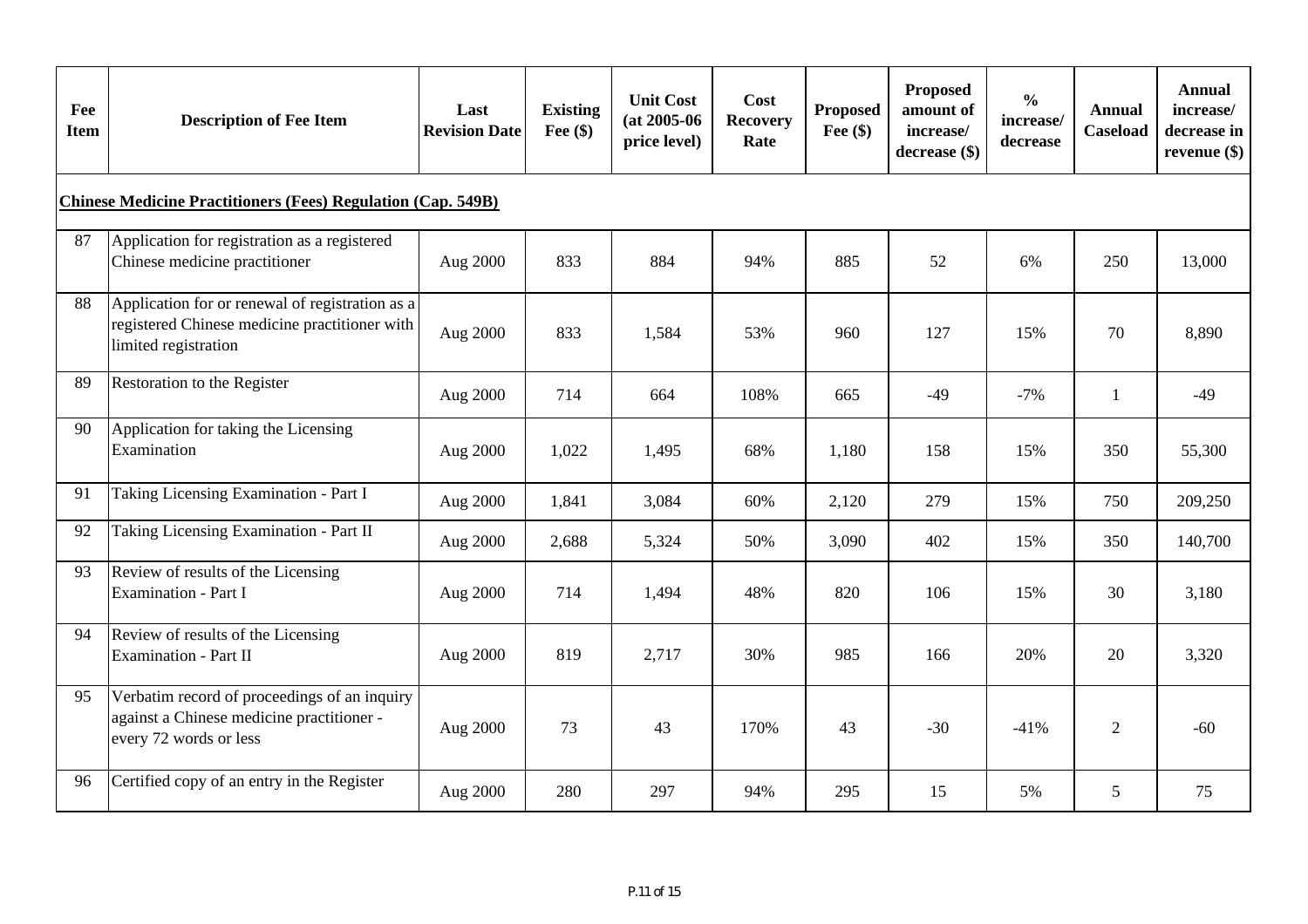| Fee<br><b>Item</b> | <b>Description of Fee Item</b>                                                                                           | Last<br><b>Revision Date</b> | <b>Existing</b><br>Fee $(\$)$ | <b>Unit Cost</b><br>$(at 2005-06)$<br>price level) | Cost<br><b>Recovery</b><br>Rate | <b>Proposed</b><br>Fee $(\$)$ | Proposed<br>amount of<br>increase/<br>decrease (\$) | $\frac{0}{0}$<br>increase/<br>decrease | <b>Annual</b><br><b>Caseload</b> | <b>Annual</b><br>increase/<br>decrease in<br>revenue $(\$)$ |
|--------------------|--------------------------------------------------------------------------------------------------------------------------|------------------------------|-------------------------------|----------------------------------------------------|---------------------------------|-------------------------------|-----------------------------------------------------|----------------------------------------|----------------------------------|-------------------------------------------------------------|
|                    | <b>Chinese Medicine Practitioners (Fees) Regulation (Cap. 549B)</b>                                                      |                              |                               |                                                    |                                 |                               |                                                     |                                        |                                  |                                                             |
| 87                 | Application for registration as a registered<br>Chinese medicine practitioner                                            | Aug 2000                     | 833                           | 884                                                | 94%                             | 885                           | 52                                                  | 6%                                     | 250                              | 13,000                                                      |
| 88                 | Application for or renewal of registration as a<br>registered Chinese medicine practitioner with<br>limited registration | Aug 2000                     | 833                           | 1,584                                              | 53%                             | 960                           | 127                                                 | 15%                                    | 70                               | 8,890                                                       |
| 89                 | Restoration to the Register                                                                                              | Aug 2000                     | 714                           | 664                                                | 108%                            | 665                           | $-49$                                               | $-7%$                                  | $\mathbf{1}$                     | $-49$                                                       |
| 90                 | Application for taking the Licensing<br>Examination                                                                      | Aug 2000                     | 1,022                         | 1,495                                              | 68%                             | 1,180                         | 158                                                 | 15%                                    | 350                              | 55,300                                                      |
| 91                 | Taking Licensing Examination - Part I                                                                                    | Aug 2000                     | 1,841                         | 3,084                                              | 60%                             | 2,120                         | 279                                                 | 15%                                    | 750                              | 209,250                                                     |
| 92                 | Taking Licensing Examination - Part II                                                                                   | Aug 2000                     | 2,688                         | 5,324                                              | 50%                             | 3,090                         | 402                                                 | 15%                                    | 350                              | 140,700                                                     |
| 93                 | Review of results of the Licensing<br><b>Examination - Part I</b>                                                        | Aug 2000                     | 714                           | 1,494                                              | 48%                             | 820                           | 106                                                 | 15%                                    | 30                               | 3,180                                                       |
| 94                 | Review of results of the Licensing<br><b>Examination - Part II</b>                                                       | Aug 2000                     | 819                           | 2,717                                              | 30%                             | 985                           | 166                                                 | 20%                                    | 20                               | 3,320                                                       |
| 95                 | Verbatim record of proceedings of an inquiry<br>against a Chinese medicine practitioner -<br>every 72 words or less      | Aug 2000                     | 73                            | 43                                                 | 170%                            | 43                            | $-30$                                               | $-41%$                                 | 2                                | $-60$                                                       |
| 96                 | Certified copy of an entry in the Register                                                                               | Aug 2000                     | 280                           | 297                                                | 94%                             | 295                           | 15                                                  | 5%                                     | 5                                | 75                                                          |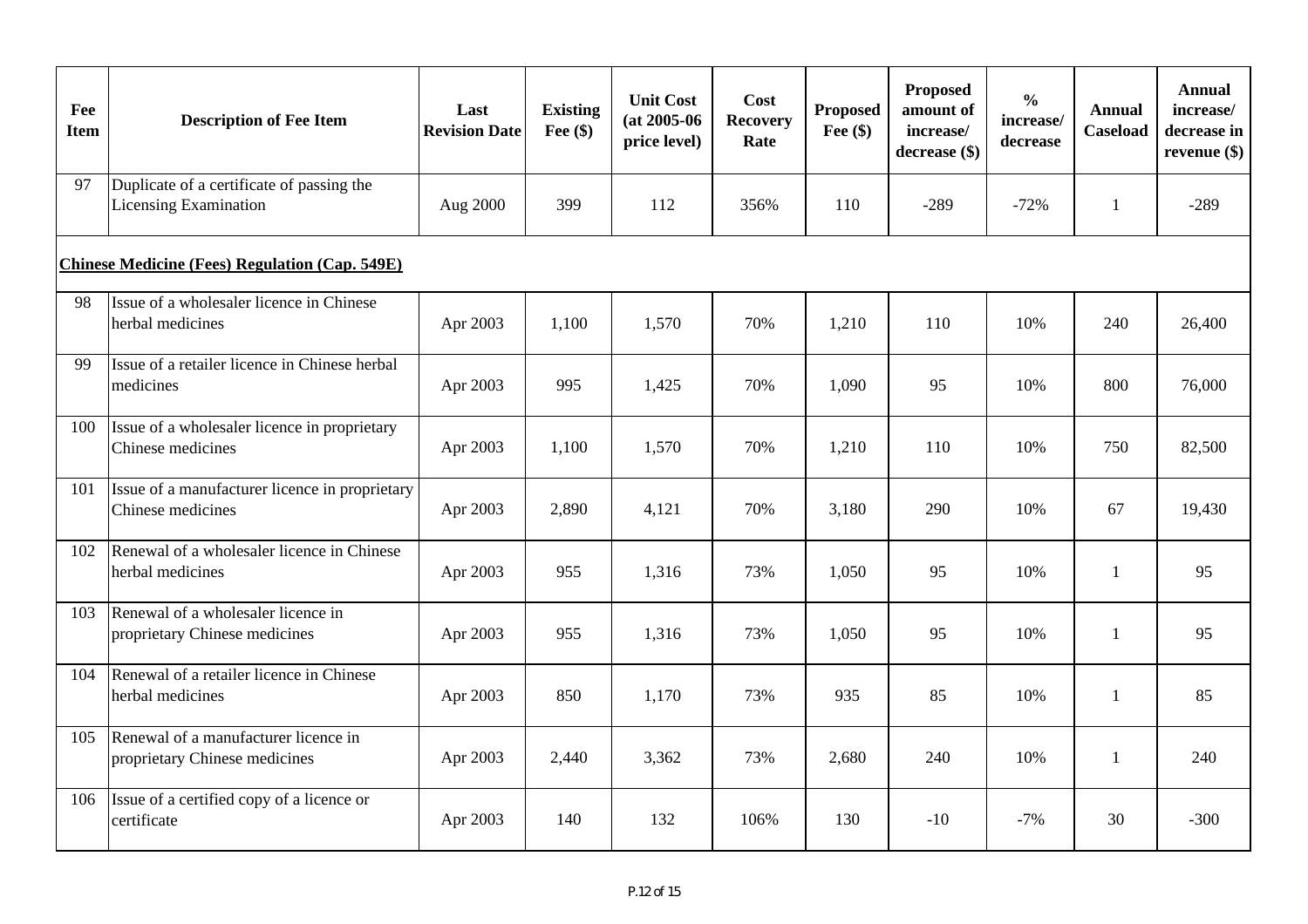| Fee<br><b>Item</b> | <b>Description of Fee Item</b>                                        | Last<br><b>Revision Date</b> | <b>Existing</b><br>Fee $(\$)$ | <b>Unit Cost</b><br>$(at 2005-06)$<br>price level) | Cost<br><b>Recovery</b><br>Rate | <b>Proposed</b><br>Fee $(\$)$ | <b>Proposed</b><br>amount of<br>increase/<br>decrease (\$) | $\frac{0}{0}$<br>increase/<br>decrease | <b>Annual</b><br>Caseload | Annual<br>increase/<br>decrease in<br>revenue $(\$)$ |
|--------------------|-----------------------------------------------------------------------|------------------------------|-------------------------------|----------------------------------------------------|---------------------------------|-------------------------------|------------------------------------------------------------|----------------------------------------|---------------------------|------------------------------------------------------|
| 97                 | Duplicate of a certificate of passing the<br>Licensing Examination    | Aug 2000                     | 399                           | 112                                                | 356%                            | 110                           | $-289$                                                     | $-72%$                                 | -1                        | $-289$                                               |
|                    | <b>Chinese Medicine (Fees) Regulation (Cap. 549E)</b>                 |                              |                               |                                                    |                                 |                               |                                                            |                                        |                           |                                                      |
| 98                 | Issue of a wholesaler licence in Chinese<br>herbal medicines          | Apr 2003                     | 1,100                         | 1,570                                              | 70%                             | 1,210                         | 110                                                        | 10%                                    | 240                       | 26,400                                               |
| 99                 | Issue of a retailer licence in Chinese herbal<br>medicines            | Apr 2003                     | 995                           | 1,425                                              | 70%                             | 1,090                         | 95                                                         | 10%                                    | 800                       | 76,000                                               |
| 100                | Issue of a wholesaler licence in proprietary<br>Chinese medicines     | Apr 2003                     | 1,100                         | 1,570                                              | 70%                             | 1,210                         | 110                                                        | 10%                                    | 750                       | 82,500                                               |
| 101                | Issue of a manufacturer licence in proprietary<br>Chinese medicines   | Apr 2003                     | 2,890                         | 4,121                                              | 70%                             | 3,180                         | 290                                                        | 10%                                    | 67                        | 19,430                                               |
| 102                | Renewal of a wholesaler licence in Chinese<br>herbal medicines        | Apr 2003                     | 955                           | 1,316                                              | 73%                             | 1,050                         | 95                                                         | 10%                                    | 1                         | 95                                                   |
| 103                | Renewal of a wholesaler licence in<br>proprietary Chinese medicines   | Apr 2003                     | 955                           | 1,316                                              | 73%                             | 1,050                         | 95                                                         | 10%                                    | 1                         | 95                                                   |
| 104                | Renewal of a retailer licence in Chinese<br>herbal medicines          | Apr 2003                     | 850                           | 1,170                                              | 73%                             | 935                           | 85                                                         | 10%                                    | 1                         | 85                                                   |
| 105                | Renewal of a manufacturer licence in<br>proprietary Chinese medicines | Apr 2003                     | 2,440                         | 3,362                                              | 73%                             | 2,680                         | 240                                                        | 10%                                    | $\mathbf{1}$              | 240                                                  |
| 106                | Issue of a certified copy of a licence or<br>certificate              | Apr 2003                     | 140                           | 132                                                | 106%                            | 130                           | $-10$                                                      | $-7%$                                  | 30                        | $-300$                                               |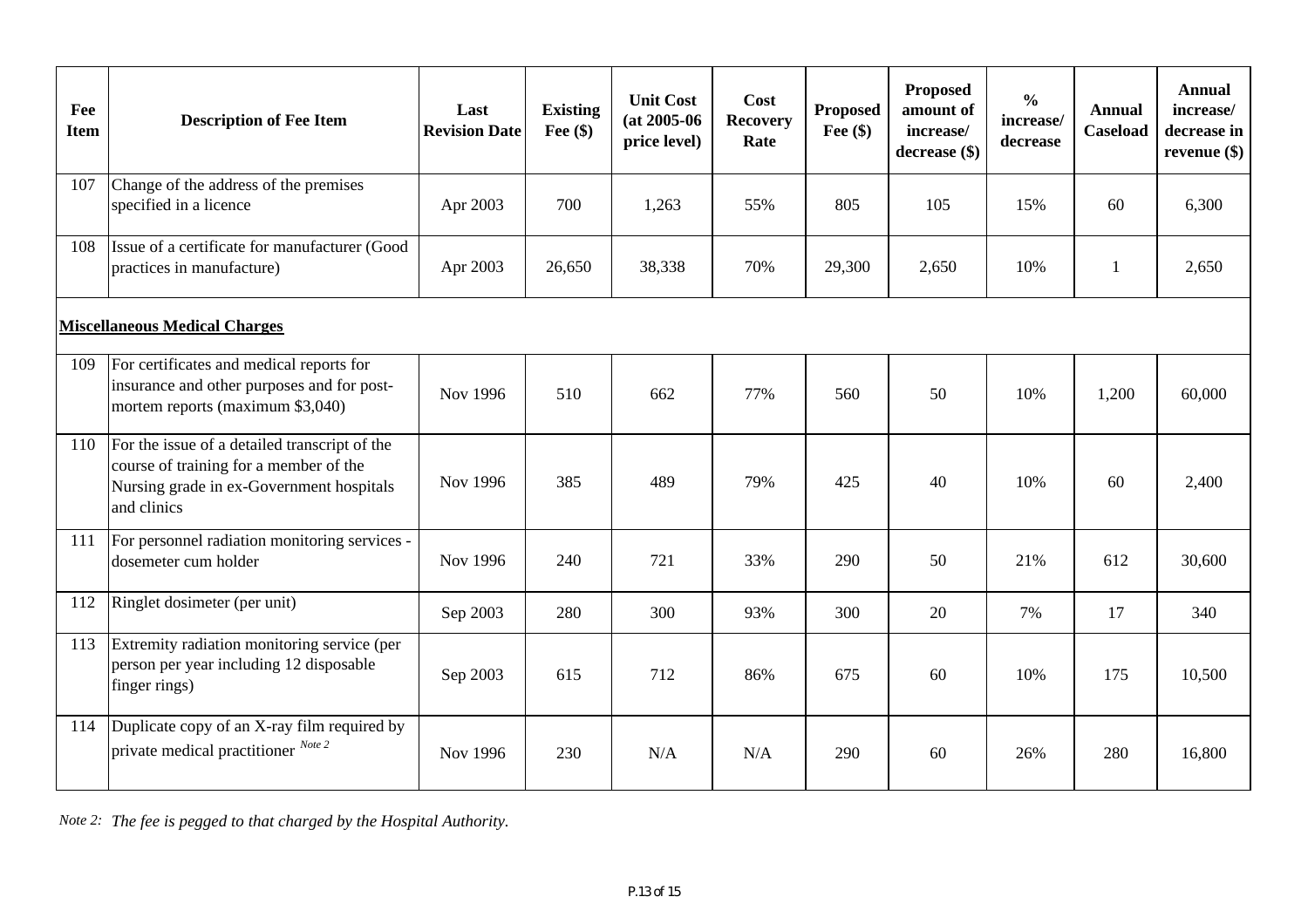| Fee<br><b>Item</b> | <b>Description of Fee Item</b>                                                                                                                     | Last<br><b>Revision Date</b> | <b>Existing</b><br>Fee $(\$)$ | <b>Unit Cost</b><br>$(at 2005-06)$<br>price level) | Cost<br><b>Recovery</b><br>Rate | <b>Proposed</b><br>Fee $(\$)$ | <b>Proposed</b><br>amount of<br>increase/<br>decrease (\$) | $\frac{0}{0}$<br>increase/<br>decrease | <b>Annual</b><br><b>Caseload</b> | <b>Annual</b><br>increase/<br>decrease in<br>revenue $(\$)$ |
|--------------------|----------------------------------------------------------------------------------------------------------------------------------------------------|------------------------------|-------------------------------|----------------------------------------------------|---------------------------------|-------------------------------|------------------------------------------------------------|----------------------------------------|----------------------------------|-------------------------------------------------------------|
| 107                | Change of the address of the premises<br>specified in a licence                                                                                    | Apr 2003                     | 700                           | 1,263                                              | 55%                             | 805                           | 105                                                        | 15%                                    | 60                               | 6,300                                                       |
| 108                | Issue of a certificate for manufacturer (Good<br>practices in manufacture)                                                                         | Apr 2003                     | 26,650                        | 38,338                                             | 70%                             | 29,300                        | 2,650                                                      | 10%                                    | 1                                | 2,650                                                       |
|                    | <b>Miscellaneous Medical Charges</b>                                                                                                               |                              |                               |                                                    |                                 |                               |                                                            |                                        |                                  |                                                             |
| 109                | For certificates and medical reports for<br>insurance and other purposes and for post-<br>mortem reports (maximum \$3,040)                         | Nov 1996                     | 510                           | 662                                                | 77%                             | 560                           | 50                                                         | 10%                                    | 1,200                            | 60,000                                                      |
| 110                | For the issue of a detailed transcript of the<br>course of training for a member of the<br>Nursing grade in ex-Government hospitals<br>and clinics | Nov 1996                     | 385                           | 489                                                | 79%                             | 425                           | 40                                                         | 10%                                    | 60                               | 2,400                                                       |
| 111                | For personnel radiation monitoring services -<br>dosemeter cum holder                                                                              | Nov 1996                     | 240                           | 721                                                | 33%                             | 290                           | 50                                                         | 21%                                    | 612                              | 30,600                                                      |
| 112                | Ringlet dosimeter (per unit)                                                                                                                       | Sep 2003                     | 280                           | 300                                                | 93%                             | 300                           | 20                                                         | 7%                                     | 17                               | 340                                                         |
| 113                | Extremity radiation monitoring service (per<br>person per year including 12 disposable<br>finger rings)                                            | Sep 2003                     | 615                           | 712                                                | 86%                             | 675                           | 60                                                         | 10%                                    | 175                              | 10,500                                                      |
| 114                | Duplicate copy of an X-ray film required by<br>private medical practitioner Note 2                                                                 | Nov 1996                     | 230                           | N/A                                                | N/A                             | 290                           | 60                                                         | 26%                                    | 280                              | 16,800                                                      |

*Note 2: The fee is pegged to that charged by the Hospital Authority.*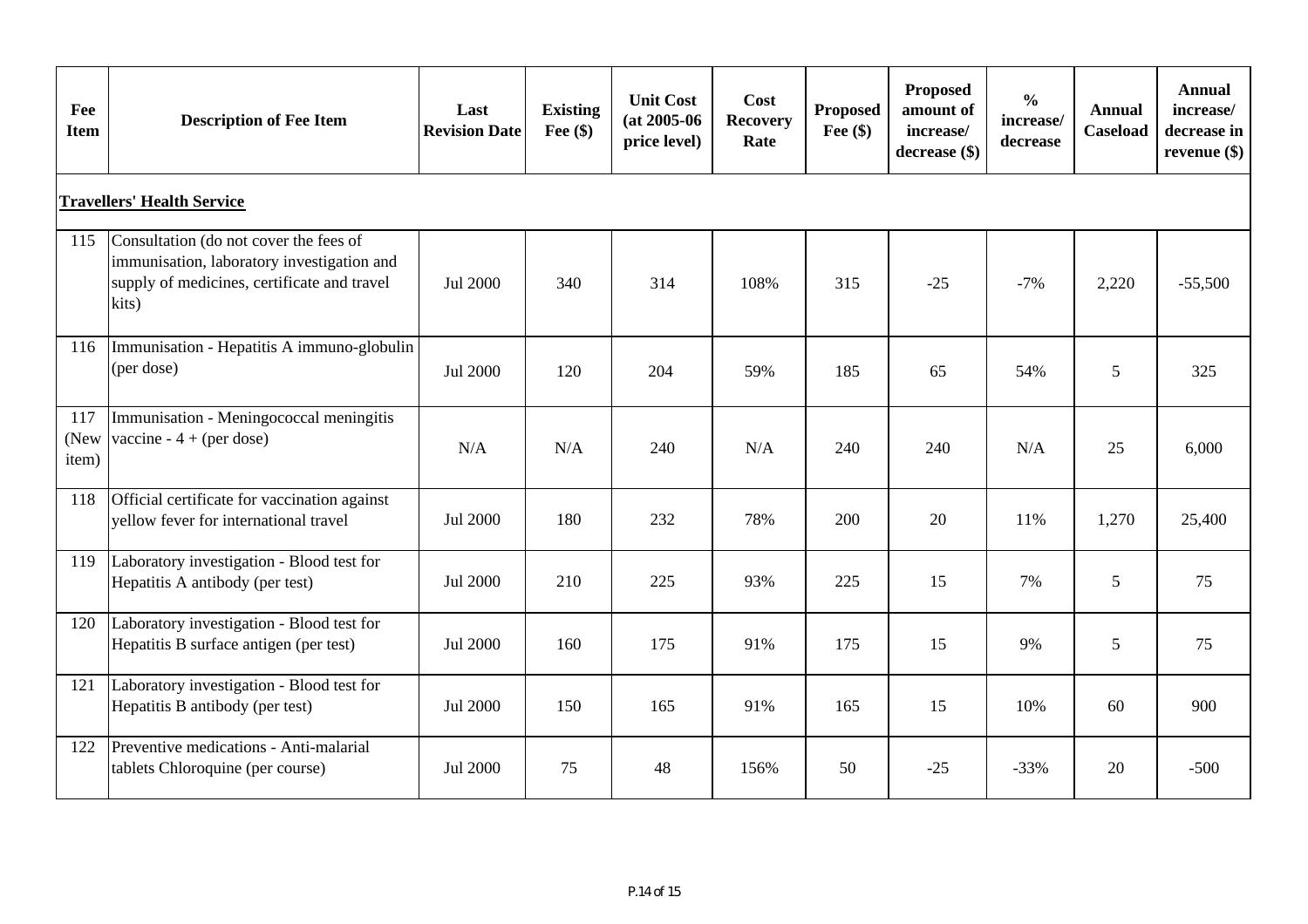| Fee<br><b>Item</b>                | <b>Description of Fee Item</b>                                                                                                               | Last<br><b>Revision Date</b> | <b>Existing</b><br>Fee $(\$)$ | <b>Unit Cost</b><br>$(at 2005-06)$<br>price level) | Cost<br><b>Recovery</b><br>Rate | <b>Proposed</b><br>Fee $(\$)$ | <b>Proposed</b><br>amount of<br>increase/<br>decrease (\$) | $\frac{0}{0}$<br>increase/<br>decrease | <b>Annual</b><br><b>Caseload</b> | <b>Annual</b><br>increase/<br>decrease in<br>revenue $(\$)$ |
|-----------------------------------|----------------------------------------------------------------------------------------------------------------------------------------------|------------------------------|-------------------------------|----------------------------------------------------|---------------------------------|-------------------------------|------------------------------------------------------------|----------------------------------------|----------------------------------|-------------------------------------------------------------|
| <b>Travellers' Health Service</b> |                                                                                                                                              |                              |                               |                                                    |                                 |                               |                                                            |                                        |                                  |                                                             |
| 115                               | Consultation (do not cover the fees of<br>immunisation, laboratory investigation and<br>supply of medicines, certificate and travel<br>kits) | Jul 2000                     | 340                           | 314                                                | 108%                            | 315                           | $-25$                                                      | $-7%$                                  | 2,220                            | $-55,500$                                                   |
| 116                               | Immunisation - Hepatitis A immuno-globulin<br>(per dose)                                                                                     | Jul 2000                     | 120                           | 204                                                | 59%                             | 185                           | 65                                                         | 54%                                    | 5                                | 325                                                         |
| 117<br>(New<br>item)              | Immunisation - Meningococcal meningitis<br>vaccine - $4 + (per dose)$                                                                        | N/A                          | N/A                           | 240                                                | N/A                             | 240                           | 240                                                        | N/A                                    | 25                               | 6,000                                                       |
| 118                               | Official certificate for vaccination against<br>yellow fever for international travel                                                        | Jul 2000                     | 180                           | 232                                                | 78%                             | 200                           | 20                                                         | 11%                                    | 1,270                            | 25,400                                                      |
| 119                               | Laboratory investigation - Blood test for<br>Hepatitis A antibody (per test)                                                                 | Jul 2000                     | 210                           | 225                                                | 93%                             | 225                           | 15                                                         | 7%                                     | 5                                | 75                                                          |
| 120                               | Laboratory investigation - Blood test for<br>Hepatitis B surface antigen (per test)                                                          | Jul 2000                     | 160                           | 175                                                | 91%                             | 175                           | 15                                                         | 9%                                     | 5                                | 75                                                          |
| 121                               | Laboratory investigation - Blood test for<br>Hepatitis B antibody (per test)                                                                 | Jul 2000                     | 150                           | 165                                                | 91%                             | 165                           | 15                                                         | 10%                                    | 60                               | 900                                                         |
| 122                               | Preventive medications - Anti-malarial<br>tablets Chloroquine (per course)                                                                   | Jul 2000                     | 75                            | 48                                                 | 156%                            | 50                            | $-25$                                                      | $-33%$                                 | 20                               | $-500$                                                      |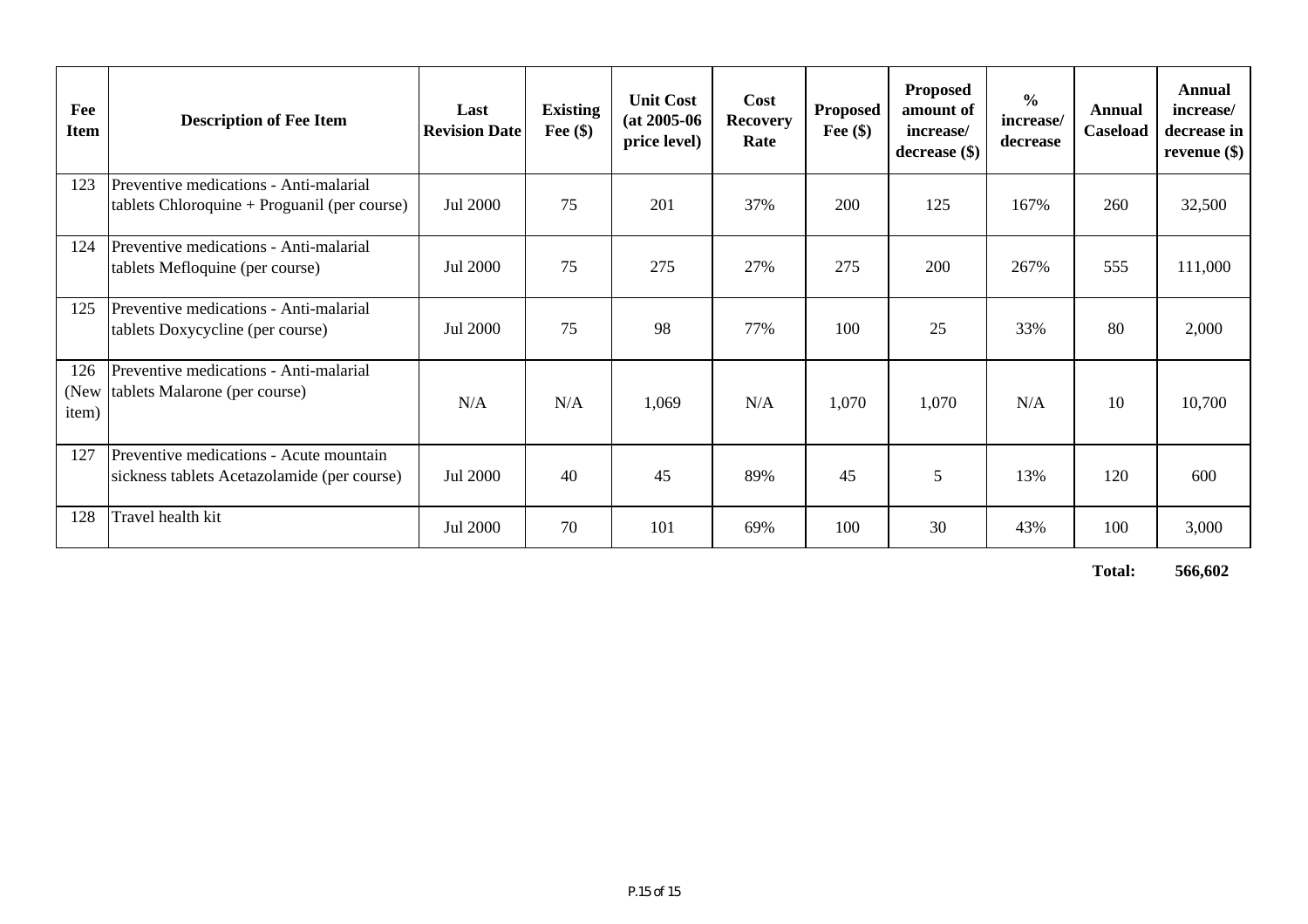| Fee<br><b>Item</b>   | <b>Description of Fee Item</b>                                                         | Last<br><b>Revision Date</b> | <b>Existing</b><br>Fee $(\$)$ | <b>Unit Cost</b><br>$(at 2005-06)$<br>price level) | Cost<br><b>Recovery</b><br>Rate | <b>Proposed</b><br>Fee $(\$)$ | <b>Proposed</b><br>amount of<br>increase/<br>$decrease$ (\$) | $\frac{0}{0}$<br>increase/<br>decrease | Annual<br>Caseload | Annual<br>increase/<br>decrease in<br>revenue $(\$)$ |
|----------------------|----------------------------------------------------------------------------------------|------------------------------|-------------------------------|----------------------------------------------------|---------------------------------|-------------------------------|--------------------------------------------------------------|----------------------------------------|--------------------|------------------------------------------------------|
| 123                  | Preventive medications - Anti-malarial<br>$tables Chloroquire + Programi (per course)$ | Jul 2000                     | 75                            | 201                                                | 37%                             | 200                           | 125                                                          | 167%                                   | 260                | 32,500                                               |
| 124                  | Preventive medications - Anti-malarial<br>tablets Mefloquine (per course)              | Jul 2000                     | 75                            | 275                                                | 27%                             | 275                           | 200                                                          | 267%                                   | 555                | 111,000                                              |
| 125                  | Preventive medications - Anti-malarial<br>tablets Doxycycline (per course)             | Jul 2000                     | 75                            | 98                                                 | 77%                             | 100                           | 25                                                           | 33%                                    | 80                 | 2,000                                                |
| 126<br>(New<br>item) | Preventive medications - Anti-malarial<br>tablets Malarone (per course)                | N/A                          | N/A                           | 1,069                                              | N/A                             | 1,070                         | 1,070                                                        | N/A                                    | 10                 | 10,700                                               |
| 127                  | Preventive medications - Acute mountain<br>sickness tablets Acetazolamide (per course) | Jul 2000                     | 40                            | 45                                                 | 89%                             | 45                            | 5                                                            | 13%                                    | 120                | 600                                                  |
| 128                  | Travel health kit                                                                      | Jul 2000                     | 70                            | 101                                                | 69%                             | 100                           | 30                                                           | 43%                                    | 100                | 3,000                                                |

**Total: 566,602**